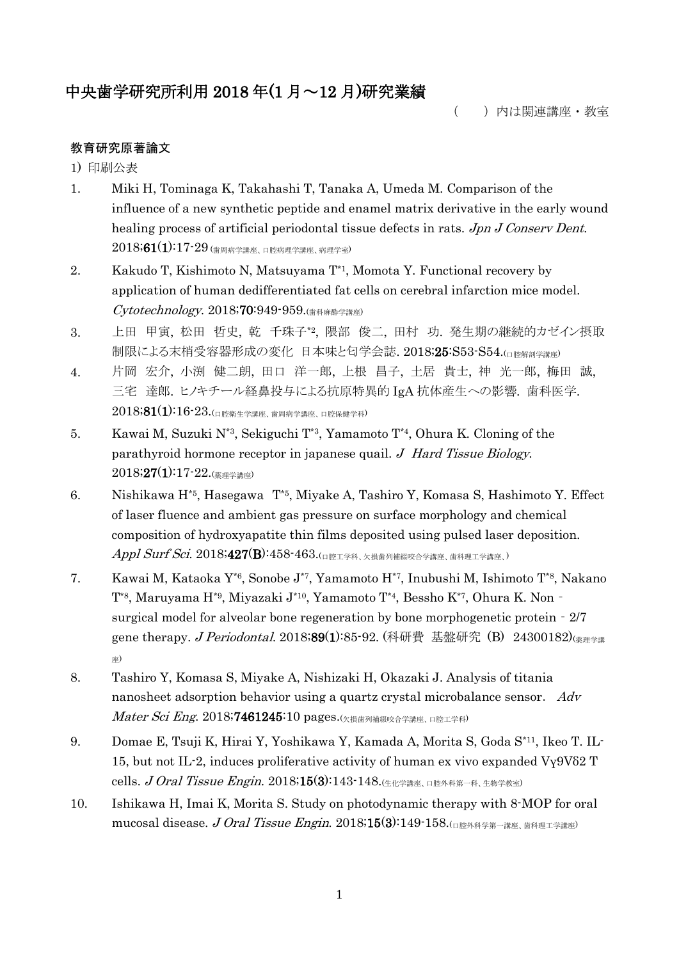# 中央歯学研究所利用 2018 年(1 月~12 月)研究業績

( )内は関連講座・教室

# 教育研究原著論文

1) 印刷公表

- 1. Miki H, Tominaga K, Takahashi T, Tanaka A, Umeda M. Comparison of the influence of a new synthetic peptide and enamel matrix derivative in the early wound healing process of artificial periodontal tissue defects in rats. Jpn J Conserv Dent.  $2018$ ;  $61(1)$ :  $17$ - $29$  (歯周病学講座、口腔病理学講座、病理学室)
- 2. Kakudo T, Kishimoto N, Matsuyama  $T^*$ , Momota Y. Functional recovery by application of human dedifferentiated fat cells on cerebral infarction mice model. Cytotechnology. 2018;70:949-959.(歯科麻酔学講座)
- 3. 上田 甲寅, 松田 哲史, 乾 千珠子\*2, 隈部 俊二, 田村 功. 発生期の継続的カゼイン摂取 制限による末梢受容器形成の変化 日本味と匂学会誌. 2018;25:S53-S54.(ロ腔解剖学講座)
- 4. 片岡 宏介, 小渕 健二朗, 田口 洋一郎, 上根 昌子, 土居 貴士, 神 光一郎, 梅田 誠, 三宅 達郎. ヒノキチール経鼻投与による抗原特異的 IgA 抗体産生への影響. 歯科医学. 2018;81(1):16-23.(口腔衛生学講座、歯周病学講座、口腔保健学科)
- 5. Kawai M, Suzuki N\*3, Sekiguchi T\*3, Yamamoto T\*4, Ohura K. Cloning of the parathyroid hormone receptor in japanese quail. J Hard Tissue Biology.  $2018;27(1):17-22.$ (薬理学講座)
- 6. Nishikawa H\*5, Hasegawa T\*5, Miyake A, Tashiro Y, Komasa S, Hashimoto Y. Effect of laser fluence and ambient gas pressure on surface morphology and chemical composition of hydroxyapatite thin films deposited using pulsed laser deposition. Appl Surf Sci. 2018;427(B):458-463.(口腔工学科、欠損歯列補綴咬合学講座、歯科理工学講座、)
- 7. Kawai M, Kataoka Y\*6, Sonobe J\*7, Yamamoto H\*7, Inubushi M, Ishimoto T\*8, Nakano T\*8, Maruyama H\*9, Miyazaki J\*10, Yamamoto T\*4, Bessho K\*7, Ohura K. Non‐ surgical model for alveolar bone regeneration by bone morphogenetic protein‐2/7 gene therapy. *J Periodontal.* 2018;89(1):85-92. (科研費 基盤研究 (B) 24300182)(<sub>薬理学講</sub> 座)
- 8. Tashiro Y, Komasa S, Miyake A, Nishizaki H, Okazaki J. Analysis of titania nanosheet adsorption behavior using a quartz crystal microbalance sensor. Adv Mater Sci Eng. 2018;7461245:10 pages.(欠損歯列補綴咬合学講座、口腔工学科)
- 9. Domae E, Tsuji K, Hirai Y, Yoshikawa Y, Kamada A, Morita S, Goda S\*11, Ikeo T. IL-15, but not IL-2, induces proliferative activity of human ex vivo expanded  $V_Y9V\delta2$  T cells. J Oral Tissue Engin. 2018;15(3):143-148. $(4.42 \times 10^{18})$
- 10. Ishikawa H, Imai K, Morita S. Study on photodynamic therapy with 8-MOP for oral mucosal disease. J Oral Tissue Engin. 2018;15(3):149-158. $\Omega$ 国際外科学第一講座、歯科理工学講座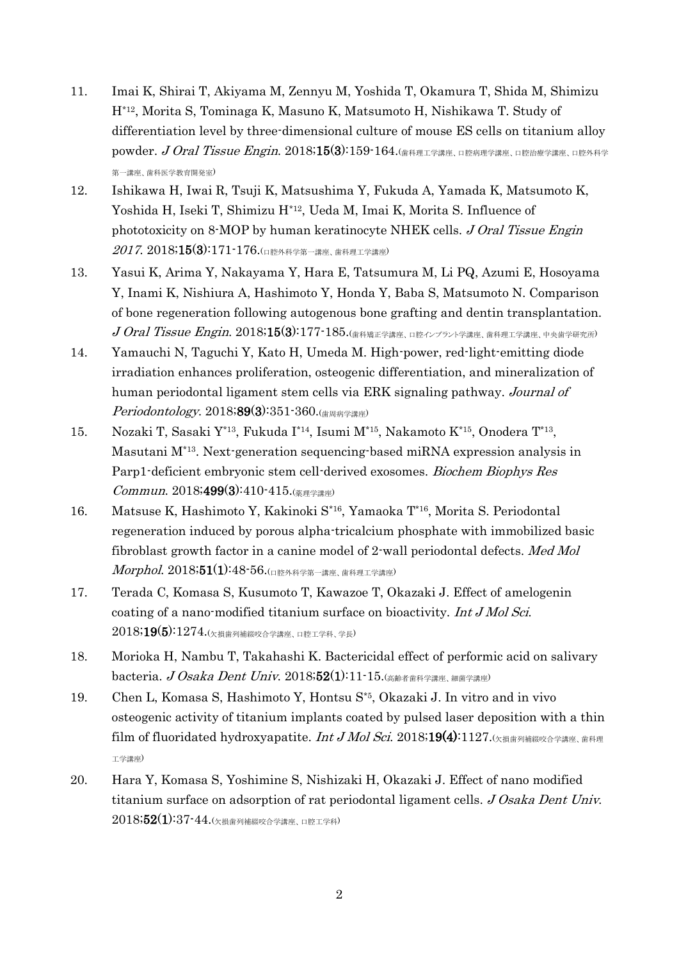- 11. Imai K, Shirai T, Akiyama M, Zennyu M, Yoshida T, Okamura T, Shida M, Shimizu H\*12, Morita S, Tominaga K, Masuno K, Matsumoto H, Nishikawa T. Study of differentiation level by three-dimensional culture of mouse ES cells on titanium alloy powder. J Oral Tissue Engin. 2018;15(3):159-164.(歯科理工学講座、口腔病理学講座、口腔治療学講座、口腔外科学 第一講座、歯科医学教育開発室)
- 12. Ishikawa H, Iwai R, Tsuji K, Matsushima Y, Fukuda A, Yamada K, Matsumoto K, Yoshida H, Iseki T, Shimizu H\*12, Ueda M, Imai K, Morita S. Influence of phototoxicity on 8-MOP by human keratinocyte NHEK cells. J Oral Tissue Engin  $2017.~2018;15(3):171 \cdot 176.$ (口腔外科学第一講座、歯科理工学講座)
- 13. Yasui K, Arima Y, Nakayama Y, Hara E, Tatsumura M, Li PQ, Azumi E, Hosoyama Y, Inami K, Nishiura A, Hashimoto Y, Honda Y, Baba S, Matsumoto N. Comparison of bone regeneration following autogenous bone grafting and dentin transplantation.  $J$  Oral Tissue Engin. 2018;15(3):177-185.(歯科矯正学講座、口腔インプラント学講座、歯科理工学講座、中央歯学研究所)
- 14. Yamauchi N, Taguchi Y, Kato H, Umeda M. High-power, red-light-emitting diode irradiation enhances proliferation, osteogenic differentiation, and mineralization of human periodontal ligament stem cells via ERK signaling pathway. Journal of *Periodontology.* 2018;89(3):351-360.(<sub>歯周病学講座</sub>)
- 15. Nozaki T, Sasaki Y\*13, Fukuda I\*14 , Isumi M\*15, Nakamoto K\*15, Onodera T\*13 , Masutani M\*13. Next-generation sequencing-based miRNA expression analysis in Parp1-deficient embryonic stem cell-derived exosomes. Biochem Biophys Res Commun. 2018;499(3):410-415.( $\frac{1}{(2.15 \times 10^{10})^2}$
- 16. Matsuse K, Hashimoto Y, Kakinoki S\*16, Yamaoka T\*16, Morita S. Periodontal regeneration induced by porous alpha-tricalcium phosphate with immobilized basic fibroblast growth factor in a canine model of 2-wall periodontal defects. Med Mol Morphol. 2018;51(1):48-56.(口腔外科学第一講座、歯科理工学講座)
- 17. Terada C, Komasa S, Kusumoto T, Kawazoe T, Okazaki J. Effect of amelogenin coating of a nano-modified titanium surface on bioactivity. Int J Mol Sci.  $2018;19(5):1274.$ (欠損歯列補綴咬合学講座、口腔工学科、学長)
- 18. Morioka H, Nambu T, Takahashi K. Bactericidal effect of performic acid on salivary bacteria.  $J \textit{Osaka Dent Univ.}$   $2018;52(1):11\text{-}15.$ (高齢者歯科学講座、細菌学講座)
- 19. Chen L, Komasa S, Hashimoto Y, Hontsu S\*5, Okazaki J. In vitro and in vivo osteogenic activity of titanium implants coated by pulsed laser deposition with a thin film of fluoridated hydroxyapatite. Int J Mol Sci. 2018;19(4):1127. $\left( \chi_{\frac{1}{2}}\right)$ 工学講座)
- 20. Hara Y, Komasa S, Yoshimine S, Nishizaki H, Okazaki J. Effect of nano modified titanium surface on adsorption of rat periodontal ligament cells. J Osaka Dent Univ.  $2018;52(1):37-44.$ (欠損歯列補綴咬合学講座、口腔工学科)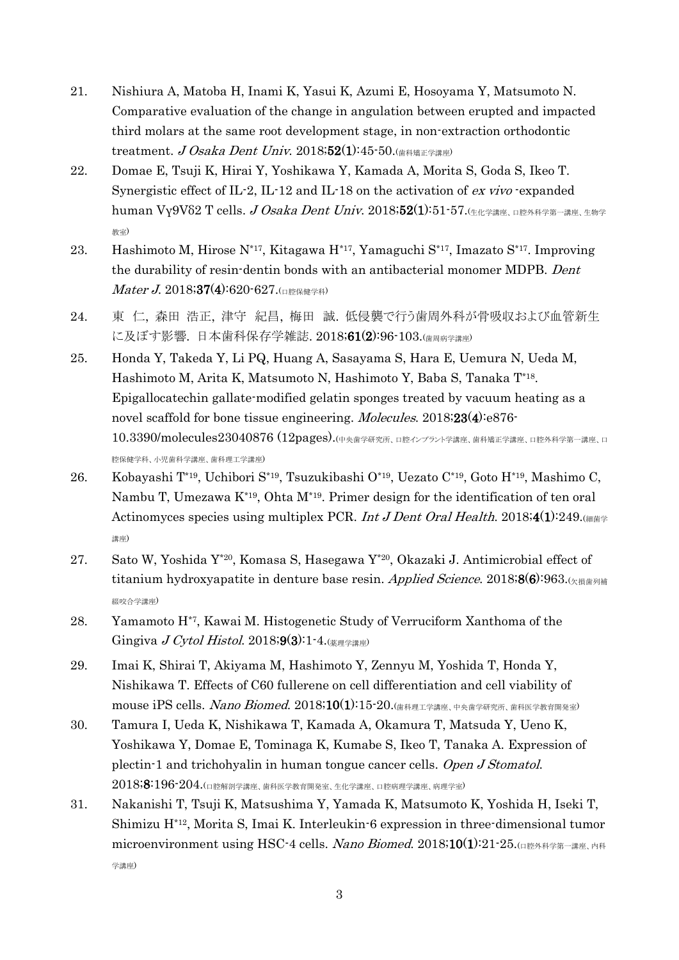- 21. Nishiura A, Matoba H, Inami K, Yasui K, Azumi E, Hosoyama Y, Matsumoto N. Comparative evaluation of the change in angulation between erupted and impacted third molars at the same root development stage, in non-extraction orthodontic treatment. J Osaka Dent Univ. 2018;52(1):45-50. $\left(\frac{1}{100}\right)^{145}$
- 22. Domae E, Tsuji K, Hirai Y, Yoshikawa Y, Kamada A, Morita S, Goda S, Ikeo T. Synergistic effect of IL-2, IL-12 and IL-18 on the activation of ex vivo -expanded human Vγ9Vδ2 T cells. *J Osaka Dent Univ.* 2018;52(1):51-57. (生化学講座、口腔外科学第一講座、生物学 教室)
- 23. Hashimoto M, Hirose N\*17, Kitagawa H\*17, Yamaguchi S\*17, Imazato S\*17. Improving the durability of resin-dentin bonds with an antibacterial monomer MDPB. Dent  $\textit{Mater J.} 2018;374):620-627.$
- 24. 東 仁, 森田 浩正, 津守 紀昌, 梅田 誠. 低侵襲で行う歯周外科が骨吸収および血管新生 に及ぼす影響. 日本歯科保存学雑誌. 2018;61(2):96-103.(歯周病学講座)
- 25. Honda Y, Takeda Y, Li PQ, Huang A, Sasayama S, Hara E, Uemura N, Ueda M, Hashimoto M, Arita K, Matsumoto N, Hashimoto Y, Baba S, Tanaka T\*18 . Epigallocatechin gallate-modified gelatin sponges treated by vacuum heating as a novel scaffold for bone tissue engineering. *Molecules*. 2018;23(4):e876- $10.3390/molecule s23040876$  (12pages).(中央歯学研究所、口腔インプラント学講座、歯科矯正学講座、口腔外科学第一講座、口 腔保健学科、小児歯科学講座、歯科理工学講座)
- 26. Kobayashi T\*19, Uchibori S\*19, Tsuzukibashi O\*19, Uezato C\*19, Goto H\*19, Mashimo C, Nambu T, Umezawa K\*19, Ohta M\*19. Primer design for the identification of ten oral Actinomyces species using multiplex PCR. Int J Dent Oral Health. 2018;4(1):249. 講座)
- 27. Sato W, Yoshida Y\*20, Komasa S, Hasegawa Y\*20, Okazaki J. Antimicrobial effect of titanium hydroxyapatite in denture base resin. Applied Science. 2018;8(6):963. $(x\text{H} \text{H})$ 綴咬合学講座)
- 28. Yamamoto H\*7, Kawai M. Histogenetic Study of Verruciform Xanthoma of the Gingiva J Cytol Histol. 2018;9(3):1-4.( $\text{RSE}$ ### $\text{RSE}$ )
- 29. Imai K, Shirai T, Akiyama M, Hashimoto Y, Zennyu M, Yoshida T, Honda Y, Nishikawa T. Effects of C60 fullerene on cell differentiation and cell viability of mouse iPS cells. Nano Biomed. 2018;10(1):15-20.(歯科理工学講座、中央歯学研究所、歯科医学教育開発室)
- 30. Tamura I, Ueda K, Nishikawa T, Kamada A, Okamura T, Matsuda Y, Ueno K, Yoshikawa Y, Domae E, Tominaga K, Kumabe S, Ikeo T, Tanaka A. Expression of plectin-1 and trichohyalin in human tongue cancer cells. Open J Stomatol.  $2018\mathbf{;8}\mathbf{:196}\mathbf{·}204.$ (口腔解剖学講座、歯科医学教育開発室、生化学講座、口腔病理学講座、病理学室)
- 31. Nakanishi T, Tsuji K, Matsushima Y, Yamada K, Matsumoto K, Yoshida H, Iseki T, Shimizu H\*12, Morita S, Imai K. Interleukin-6 expression in three-dimensional tumor microenvironment using HSC-4 cells. Nano Biomed.  $2018;10(1):21\text{-}25$ .( $\Box$   $\Box$ p: $\Diamond$ A $\Box$  $\Box$   $\Box$   $\Box$ ) 学講座)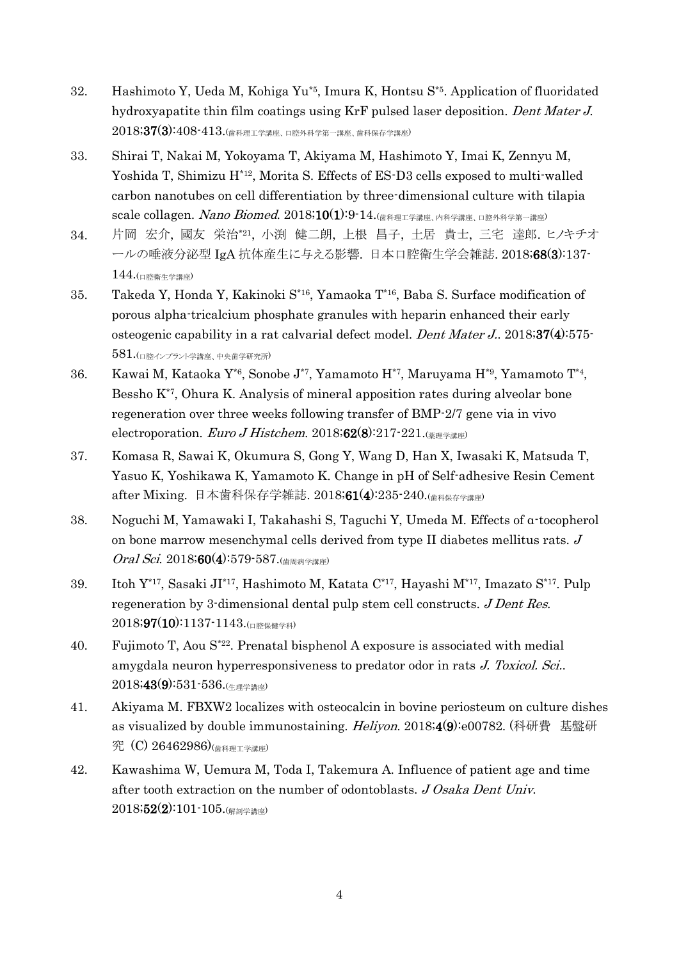- 32. Hashimoto Y, Ueda M, Kohiga Yu\*5, Imura K, Hontsu S\*5. Application of fluoridated hydroxyapatite thin film coatings using KrF pulsed laser deposition. Dent Mater J.  $2018;37(3):408-413$ .(歯科理工学講座、口腔外科学第一講座、歯科保存学講座)
- 33. Shirai T, Nakai M, Yokoyama T, Akiyama M, Hashimoto Y, Imai K, Zennyu M, Yoshida T, Shimizu H<sup>\*12</sup>, Morita S. Effects of ES-D3 cells exposed to multi-walled carbon nanotubes on cell differentiation by three-dimensional culture with tilapia scale collagen. Nano Biomed. 2018;10(1):9-14.(歯科理工学講座、内科学講座、口腔外科学第一講座)
- 34. 片岡 宏介, 國友 栄治\*21 , 小渕 健二朗, 上根 昌子, 土居 貴士, 三宅 達郎. ヒノキチオ ールの唾液分泌型 IgA 抗体産生に与える影響. 日本口腔衛生学会雑誌. 2018;68(3):137- 144.(口腔衛生学講座)
- 35. Takeda Y, Honda Y, Kakinoki S\*16, Yamaoka T\*16, Baba S. Surface modification of porous alpha-tricalcium phosphate granules with heparin enhanced their early osteogenic capability in a rat calvarial defect model. Dent Mater J.. 2018;37(4):575-  $581.$ (ロ腔インプラント学講座、中央歯学研究所)
- 36. Kawai M, Kataoka Y\*6, Sonobe J\*7, Yamamoto H\*7, Maruyama H\*9, Yamamoto T\*4 , Bessho K\*7, Ohura K. Analysis of mineral apposition rates during alveolar bone regeneration over three weeks following transfer of BMP-2/7 gene via in vivo electroporation. Euro J Histchem. 2018;62(8):217-221. $\left(\frac{1}{(4-1)^{1/2}}\right)$
- 37. Komasa R, Sawai K, Okumura S, Gong Y, Wang D, Han X, Iwasaki K, Matsuda T, Yasuo K, Yoshikawa K, Yamamoto K. Change in pH of Self-adhesive Resin Cement after Mixing. 日本歯科保存学雑誌. 2018;61(4):235-240.(歯科保存学講座)
- 38. Noguchi M, Yamawaki I, Takahashi S, Taguchi Y, Umeda M. Effects of α-tocopherol on bone marrow mesenchymal cells derived from type II diabetes mellitus rats. J  $Oral Sci. 2018; 60(4): 579-587.$  $\left(\frac{1}{10}\right)$   $\frac{1}{10(10)}$
- 39. Itoh Y\*17, Sasaki JI\*17, Hashimoto M, Katata C\*17, Hayashi M\*17, Imazato S\*17. Pulp regeneration by 3-dimensional dental pulp stem cell constructs. J Dent Res.  $2018;97(10):1137-1143.$
- 40. Fujimoto T, Aou S\*22 . Prenatal bisphenol A exposure is associated with medial amygdala neuron hyperresponsiveness to predator odor in rats J. Toxicol. Sci..  $2018;43(9):531-536.$
- 41. Akiyama M. FBXW2 localizes with osteocalcin in bovine periosteum on culture dishes as visualized by double immunostaining. Heliyon. 2018;4(9):e00782. (科研費 基盤研 究 (C) 26462986)(歯科理工学講座)
- 42. Kawashima W, Uemura M, Toda I, Takemura A. Influence of patient age and time after tooth extraction on the number of odontoblasts. J Osaka Dent Univ.  $2018;52(2):101-105$ .(解剖学講座)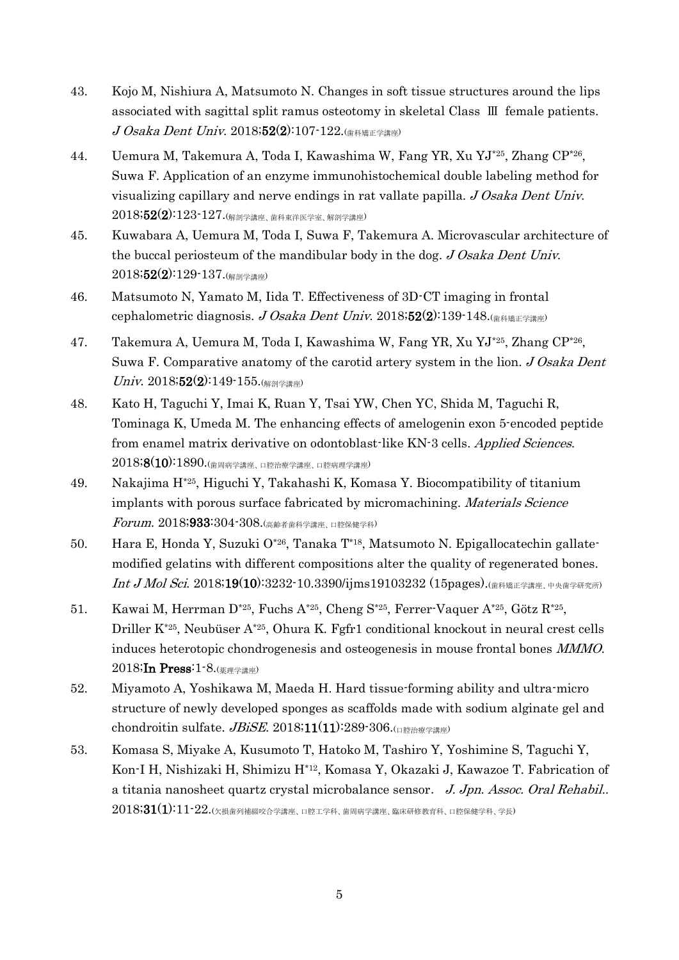- 43. Kojo M, Nishiura A, Matsumoto N. Changes in soft tissue structures around the lips associated with sagittal split ramus osteotomy in skeletal Class Ⅲ female patients. J Osaka Dent Univ. 2018;52(2):107-122.(歯科矯正学講座)
- 44. Uemura M, Takemura A, Toda I, Kawashima W, Fang YR, Xu YJ\*25, Zhang CP\*26 , Suwa F. Application of an enzyme immunohistochemical double labeling method for visualizing capillary and nerve endings in rat vallate papilla. J Osaka Dent Univ. 2018;52(2):123-127.(解剖学講座、歯科東洋医学室、解剖学講座)
- 45. Kuwabara A, Uemura M, Toda I, Suwa F, Takemura A. Microvascular architecture of the buccal periosteum of the mandibular body in the dog. J Osaka Dent Univ.  $2018;52(2):129-137.$ (解剖学講座)
- 46. Matsumoto N, Yamato M, Iida T. Effectiveness of 3D-CT imaging in frontal cephalometric diagnosis. J Osaka Dent Univ. 2018;52(2):139-148.
- 47. Takemura A, Uemura M, Toda I, Kawashima W, Fang YR, Xu YJ\*25, Zhang CP\*26 , Suwa F. Comparative anatomy of the carotid artery system in the lion. J Osaka Dent  $Univ. 2018;52(2):149-155$ .(解剖学講座)
- 48. Kato H, Taguchi Y, Imai K, Ruan Y, Tsai YW, Chen YC, Shida M, Taguchi R, Tominaga K, Umeda M. The enhancing effects of amelogenin exon 5-encoded peptide from enamel matrix derivative on odontoblast-like KN-3 cells. Applied Sciences. 2018;8(10):1890.(歯周病学講座、口腔治療学講座、口腔病理学講座)
- 49. Nakajima H\*25, Higuchi Y, Takahashi K, Komasa Y. Biocompatibility of titanium implants with porous surface fabricated by micromachining. Materials Science Forum. 2018;933:304-308.(高齢者歯科学講座、口腔保健学科)
- 50. Hara E, Honda Y, Suzuki O\*26, Tanaka T\*18, Matsumoto N. Epigallocatechin gallatemodified gelatins with different compositions alter the quality of regenerated bones. Int J Mol Sci. 2018;19(10):3232-10.3390/ijms19103232 (15pages).(歯科矯正学講座、中央歯学研究所)
- 51. Kawai M, Herrman D<sup>\*25</sup>, Fuchs A<sup>\*25</sup>, Cheng S<sup>\*25</sup>, Ferrer-Vaquer A<sup>\*25</sup>, Götz R<sup>\*25</sup>, Driller K\*25, Neubüser A\*25, Ohura K. Fgfr1 conditional knockout in neural crest cells induces heterotopic chondrogenesis and osteogenesis in mouse frontal bones MMMO. 2018;In Press:1-8.(薬理学講座)
- 52. Miyamoto A, Yoshikawa M, Maeda H. Hard tissue-forming ability and ultra-micro structure of newly developed sponges as scaffolds made with sodium alginate gel and chondroitin sulfate.  $JBiSE$ . 2018;11(11):289-306.(口腔治療学講座)
- 53. Komasa S, Miyake A, Kusumoto T, Hatoko M, Tashiro Y, Yoshimine S, Taguchi Y, Kon-I H, Nishizaki H, Shimizu H\*12, Komasa Y, Okazaki J, Kawazoe T. Fabrication of a titania nanosheet quartz crystal microbalance sensor. J. Jpn. Assoc. Oral Rehabil..  $2018;31(1):11$ - $22.$ (欠損歯列補綴咬合学講座、口腔工学科、歯周病学講座、臨床研修教育科、口腔保健学科、学長)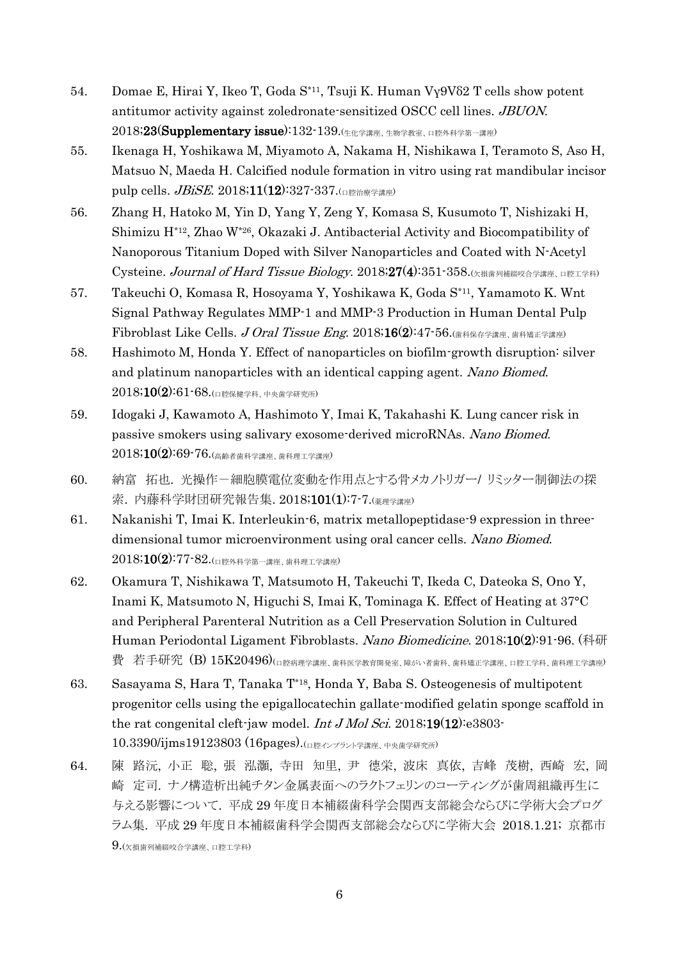- 54. Domae E, Hirai Y, Ikeo T, Goda S\*11, Tsuji K. Human Vγ9Vδ2 T cells show potent antitumor activity against zoledronate-sensitized OSCC cell lines. JBUON. 2018;23(Supplementary issue):132-139.(生化学講座、生物学教室、口腔外科学第一講座)
- 55. Ikenaga H, Yoshikawa M, Miyamoto A, Nakama H, Nishikawa I, Teramoto S, Aso H, Matsuo N, Maeda H. Calcified nodule formation in vitro using rat mandibular incisor pulp cells. *JBiSE*. 2018;11(12):327-337.( $\Box$  permitted  $\Box$
- 56. Zhang H, Hatoko M, Yin D, Yang Y, Zeng Y, Komasa S, Kusumoto T, Nishizaki H, Shimizu H\*12, Zhao W\*26, Okazaki J. Antibacterial Activity and Biocompatibility of Nanoporous Titanium Doped with Silver Nanoparticles and Coated with N-Acetyl Cysteine. Journal of Hard Tissue Biology.  $2018;27(4):351:358$ .  $(x)$   $\#$   $\#$   $\mathbb{Z}$   $\#$   $\#$   $\mathbb{Z}$   $\#$   $\#$ )
- 57. Takeuchi O, Komasa R, Hosoyama Y, Yoshikawa K, Goda S\*11, Yamamoto K. Wnt Signal Pathway Regulates MMP-1 and MMP-3 Production in Human Dental Pulp Fibroblast Like Cells. J Oral Tissue Eng. 2018;16(2):47-56. $\left(\frac{1}{(4.164)(1.164 \times 10^{-14})^{10}}\right)$
- 58. Hashimoto M, Honda Y. Effect of nanoparticles on biofilm-growth disruption: silver and platinum nanoparticles with an identical capping agent. Nano Biomed. 2018;10(2):61-68.(口腔保健学科、中央歯学研究所)
- 59. Idogaki J, Kawamoto A, Hashimoto Y, Imai K, Takahashi K. Lung cancer risk in passive smokers using salivary exosome-derived microRNAs. Nano Biomed. 2018;10(2):69-76.(高齢者歯科学講座、歯科理工学講座)
- 60. 納富 拓也. 光操作-細胞膜電位変動を作用点とする骨メカノトリガー/ リミッター制御法の探 索. 内藤科学財団研究報告集. 2018;101(1):7-7.(薬理学講座)
- 61. Nakanishi T, Imai K. Interleukin-6, matrix metallopeptidase-9 expression in threedimensional tumor microenvironment using oral cancer cells. Nano Biomed.  $2018;10(2):77-82.$ (口腔外科学第一講座、歯科理工学講座)
- 62. Okamura T, Nishikawa T, Matsumoto H, Takeuchi T, Ikeda C, Dateoka S, Ono Y, Inami K, Matsumoto N, Higuchi S, Imai K, Tominaga K. Effect of Heating at 37°C and Peripheral Parenteral Nutrition as a Cell Preservation Solution in Cultured Human Periodontal Ligament Fibroblasts. Nano Biomedicine. 2018;10(2):91-96. (科研  $\ddot{\textbf{\emph{E}}}$  若手研究 (B) 15 $\text{K20496}$ )(口腔病理学講座、歯科医学教育開発室、障がい者歯科、歯科矯正学講座、口腔工学科、歯科理工学講座)
- 63. Sasayama S, Hara T, Tanaka T\*18, Honda Y, Baba S. Osteogenesis of multipotent progenitor cells using the epigallocatechin gallate-modified gelatin sponge scaffold in the rat congenital cleft-jaw model. *Int J Mol Sci.* 2018;19(12):e3803-10.3390/ijms19123803 (16pages).(口腔インプラント学講座、中央歯学研究所)
- 64. 陳 路沅, 小正 聡, 張 泓灝, 寺田 知里, 尹 德栄, 波床 真依, 吉峰 茂樹, 西崎 宏, 岡 崎 定司. ナノ構造析出純チタン金属表面へのラクトフェリンのコーティングが歯周組織再生に 与える影響について. 平成 29 年度日本補綴歯科学会関西支部総会ならびに学術大会プログ ラム集. 平成 29 年度日本補綴歯科学会関西支部総会ならびに学術大会 2018.1.21; 京都市  $9.$ (欠損歯列補綴咬合学講座、口腔工学科)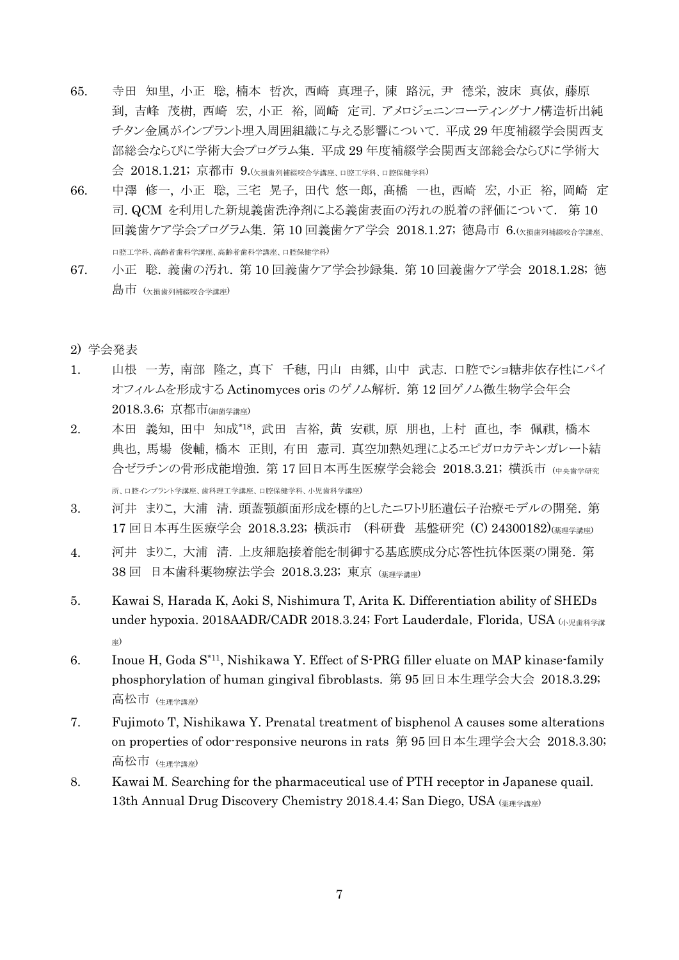- 65. 寺田 知里, 小正 聡, 楠本 哲次, 西崎 真理子, 陳 路沅, 尹 德栄, 波床 真依, 藤原 到, 吉峰 茂樹, 西崎 宏, 小正 裕, 岡崎 定司. アメロジェニンコーティングナノ構造析出純 チタン金属がインプラント埋入周囲組織に与える影響について. 平成 29 年度補綴学会関西支 部総会ならびに学術大会プログラム集. 平成 29 年度補綴学会関西支部総会ならびに学術大 会 2018.1.21; 京都市 9. (欠損歯列補綴咬合学講座、口腔工学科、口腔保健学科)
- 66. 中澤 修一, 小正 聡, 三宅 晃子, 田代 悠一郎, 髙橋 一也, 西崎 宏, 小正 裕, 岡崎 定 司. QCM を利用した新規義歯洗浄剤による義歯表面の汚れの脱着の評価について. 第 10 回義歯ケア学会プログラム集. 第10回義歯ケア学会 2018.1.27; 徳島市 6.(欠損歯列補綴咬合学講座、 口腔工学科、高齢者歯科学講座、高齢者歯科学講座、口腔保健学科)
- 67. 小正 聡. 義歯の汚れ. 第 10 回義歯ケア学会抄録集. 第 10 回義歯ケア学会 2018.1.28; 徳 島市 (欠損歯列補綴咬合学講座)

#### 2) 学会発表

- 1. 山根 一芳, 南部 隆之, 真下 千穂, 円山 由郷, 山中 武志. 口腔でショ糖非依存性にバイ オフィルムを形成する Actinomyces oris のゲノム解析. 第 12 回ゲノム微生物学会年会 2018.3.6; 京都市(細菌学講座)
- 2. 本田 義知, 田中 知成\*18 , 武田 吉裕, 黄 安祺, 原 朋也, 上村 直也, 李 佩祺, 橋本 典也, 馬場 俊輔, 橋本 正則, 有田 憲司. 真空加熱処理によるエピガロカテキンガレート結 合ゼラチンの骨形成能増強. 第17回日本再生医療学会総会 2018.3.21; 横浜市 (中中歯学研究 所、口腔インプラント学講座、歯科理工学講座、口腔保健学科、小児歯科学講座)
- 3. 河井 まりこ, 大浦 清. 頭蓋顎顔面形成を標的としたニワトリ胚遺伝子治療モデルの開発. 第 17 回日本再生医療学会 2018.3.23; 横浜市 (科研費 基盤研究 (C) 24300182)(薬理学講座)
- 4. 河井 まりこ, 大浦 清. 上皮細胞接着能を制御する基底膜成分応答性抗体医薬の開発. 第 38 回 日本歯科薬物療法学会 2018.3.23; 東京 (薬理学講座)
- 5. Kawai S, Harada K, Aoki S, Nishimura T, Arita K. Differentiation ability of SHEDs under hypoxia. 2018AADR/CADR 2018.3.24; Fort Lauderdale, Florida, USA (小児歯科学講 座)
- 6. Inoue H, Goda S\*11, Nishikawa Y. Effect of S-PRG filler eluate on MAP kinase-family phosphorylation of human gingival fibroblasts. 第 95 回日本生理学会大会 2018.3.29; 高松市 (生理学講座)
- 7. Fujimoto T, Nishikawa Y. Prenatal treatment of bisphenol A causes some alterations on properties of odor-responsive neurons in rats 第 95 回日本生理学会大会 2018.3.30; 高松市 (生理学講座)
- 8. Kawai M. Searching for the pharmaceutical use of PTH receptor in Japanese quail. 13th Annual Drug Discovery Chemistry 2018.4.4; San Diego, USA (薬理学講座)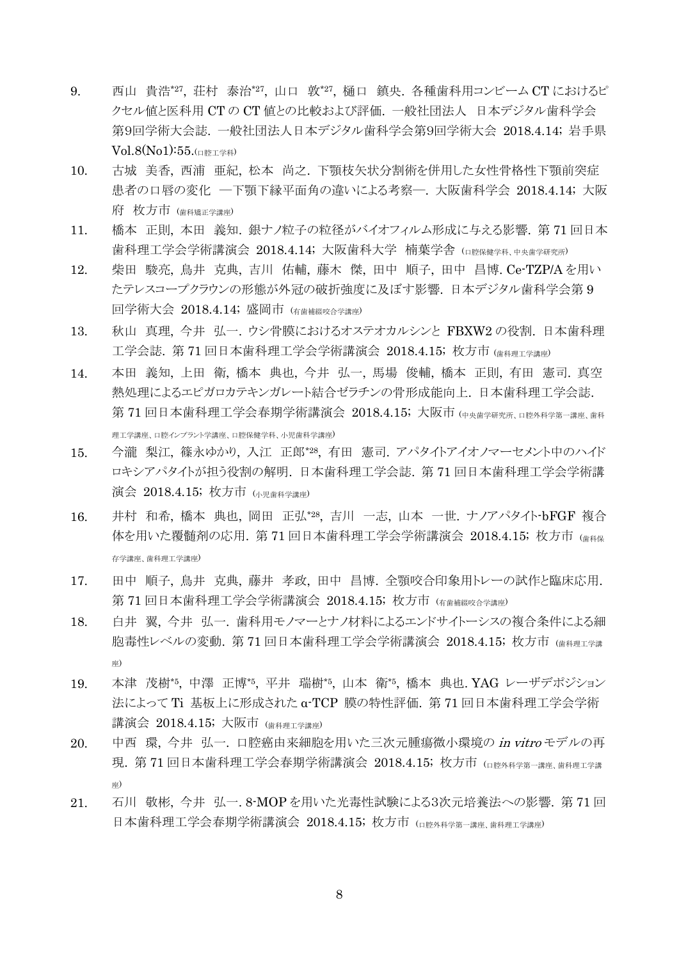- 9. 西山 貴浩\*27, 荘村 泰治\*27, 山口 敦\*27, 樋口 鎮央. 各種歯科用コンビーム CT におけるピ クセル値と医科用 CT の CT 値との比較および評価. 一般社団法人 日本デジタル歯科学会 第9回学術大会誌. 一般社団法人日本デジタル歯科学会第9回学術大会 2018.4.14; 岩手県  $Vol.8(N_01):55.$ ( $U$ <sub> $R$  $\rightarrow$  $N$ )</sub>
- 10. 古城 美香, 西浦 亜紀, 松本 尚之. 下顎枝矢状分割術を併用した女性骨格性下顎前突症 患者の口唇の変化 ―下顎下縁平面角の違いによる考察―. 大阪歯科学会 2018.4.14; 大阪 府 枚方市 (歯科矯正学講座)
- 11. 橋本 正則, 本田 義知. 銀ナノ粒子の粒径がバイオフィルム形成に与える影響. 第 71 回日本 歯科理工学会学術講演会 2018.4.14; 大阪歯科大学 楠葉学舎 (口腔保健学科、中央歯学研究所)
- 12. 柴田 駿亮, 鳥井 克典, 吉川 佑輔, 藤木 傑, 田中 順子, 田中 昌博. Ce-TZP/A を用い たテレスコープクラウンの形態が外冠の破折強度に及ぼす影響. 日本デジタル歯科学会第 9 回学術大会 2018.4.14; 盛岡市 (有歯補綴咬合学講座)
- 13. 秋山 真理, 今井 弘一. ウシ骨膜におけるオステオカルシンと FBXW2 の役割. 日本歯科理 工学会誌. 第 71 回日本歯科理工学会学術講演会 2018.4.15; 枚方市 (歯科理工学講座)
- 14. 本田 義知, 上田 衛, 橋本 典也, 今井 弘一, 馬場 俊輔, 橋本 正則, 有田 憲司. 真空 熱処理によるエピガロカテキンガレート結合ゼラチンの骨形成能向上. 日本歯科理工学会誌. 第 71 回日本歯科理工学会春期学術講演会 2018.4.15; 大阪市 (中央歯学研究所, 口腔外科学第一講座、歯科 理工学講座、口腔インプラント学講座、口腔保健学科、小児歯科学講座)
- 15. 今瀧 梨江, 篠永ゆかり, 入江 正郎\*28 , 有田 憲司. アパタイトアイオノマーセメント中のハイド ロキシアパタイトが担う役割の解明. 日本歯科理工学会誌. 第 71 回日本歯科理工学会学術講 演会 2018.4.15; 枚方市 (小児歯科学講座)
- 16. 井村 和希, 橋本 典也, 岡田 正弘\*28 , 吉川 一志, 山本 一世. ナノアパタイト-bFGF 複合 体を用いた覆髄剤の応用. 第 71 回日本歯科理工学会学術講演会 2018.4.15; 枚方市 (歯科保 存学講座、歯科理工学講座)
- 17. 田中 順子, 鳥井 克典, 藤井 孝政, 田中 昌博. 全顎咬合印象用トレーの試作と臨床応用. 第 71 回日本歯科理工学会学術講演会 2018.4.15; 枚方市 (有歯補綴咬合学講座)
- 18. 白井 翼, 今井 弘一, 歯科用モノマーとナノ材料によるエンドサイトーシスの複合条件による細 胞毒性レベルの変動. 第 71 回日本歯科理工学会学術講演会 2018.4.15; 枚方市 (歯科理工学講 座)
- 19. 本津 茂樹\*5 , 中澤 正博\*5 , 平井 瑞樹\*5 , 山本 衛\*5 , 橋本 典也. YAG レーザデポジション 法によって Ti 基板上に形成された α-TCP 膜の特性評価. 第 71 回日本歯科理工学会学術 講演会 2018.4.15; 大阪市 (歯科理工学講座)
- 20. 中西 環, 今井 弘一. 口腔癌由来細胞を用いた三次元腫瘍微小環境の in vitro モデルの再 現. 第 71 回日本歯科理工学会春期学術講演会 2018.4.15; 枚方市 (ロ腔外科学第一講座、歯科理工学講 座)
- 21. 石川 敬彬, 今井 弘一. 8-MOP を用いた光毒性試験による3次元培養法への影響. 第 71 回 日本歯科理工学会春期学術講演会 2018.4.15; 枚方市 (ロ腔外科学第一講座: 歯科理工学講座)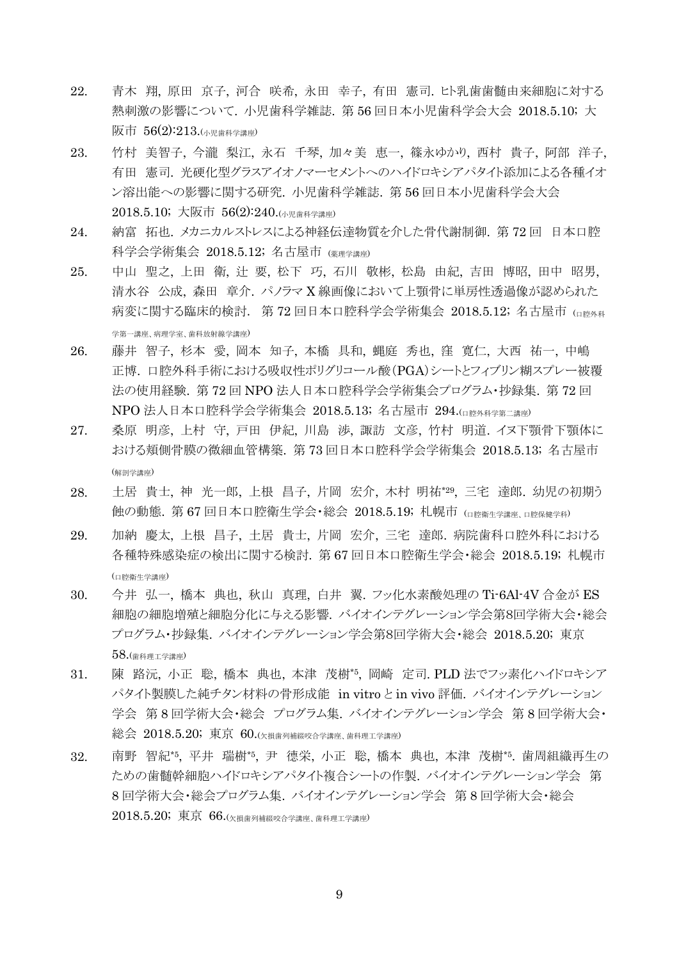- 22. 青木 翔, 原田 京子, 河合 咲希, 永田 幸子, 有田 憲司. ヒト乳歯歯髄由来細胞に対する 熱刺激の影響について. 小児歯科学雑誌. 第 56 回日本小児歯科学会大会 2018.5.10; 大 阪市 56(2):213.(小児歯科学講座)
- 23. 竹村 美智子, 今瀧 梨江, 永石 千琴, 加々美 恵一, 篠永ゆかり, 西村 貴子, 阿部 洋子, 有田 憲司. 光硬化型グラスアイオノマーセメントへのハイドロキシアパタイト添加による各種イオ ン溶出能への影響に関する研究. 小児歯科学雑誌. 第 56 回日本小児歯科学会大会 2018.5.10; 大阪市 56(2):240.(小児歯科学講座)
- 24. 納富 拓也. メカニカルストレスによる神経伝達物質を介した骨代謝制御. 第 72 回 日本口腔 科学会学術集会 2018.5.12; 名古屋市 (薬理学講座)
- 25. 中山 聖之, 上田 衛, 辻 要, 松下 巧, 石川 敬彬, 松島 由紀, 吉田 博昭, 田中 昭男, 清水谷 公成, 森田 章介. パノラマ X 線画像において上顎骨に単房性透過像が認められた 病変に関する臨床的検討. 第 72 回日本口腔科学会学術集会 2018.5.12; 名古屋市 (ロ降外科 学第一講座、病理学室、歯科放射線学講座)
- 26. 藤井 智子, 杉本 愛, 岡本 知子, 本橋 具和, 蝿庭 秀也, 窪 寛仁, 大西 祐一, 中嶋 正博. 口腔外科手術における吸収性ポリグリコール酸(PGA)シートとフィブリン糊スプレー被覆 法の使用経験. 第 72 回 NPO 法人日本口腔科学会学術集会プログラム・抄録集. 第 72 回 NPO 法人日本口腔科学会学術集会 2018.5.13; 名古屋市 294.(口腔外科学第二講座)
- 27. 桑原 明彦, 上村 守, 戸田 伊紀, 川島 渉, 諏訪 文彦, 竹村 明道. イヌ下顎骨下顎体に おける頬側骨膜の微細血管構築. 第 73 回日本口腔科学会学術集会 2018.5.13; 名古屋市 (解剖学講座)
- 28. 土居 貴士, 神 光一郎, 上根 昌子, 片岡 宏介, 木村 明祐\*29 , 三宅 達郎. 幼児の初期う 蝕の動態. 第 67 回日本口腔衛生学会・総会 2018.5.19; 札幌市 (口腔衛生学講座、口腔保健学科)
- 29. 加納 慶太, 上根 昌子, 土居 貴士, 片岡 宏介, 三宅 達郎. 病院歯科口腔外科における 各種特殊感染症の検出に関する検討. 第 67 回日本口腔衛生学会・総会 2018.5.19; 札幌市 (口腔衛生学講座)
- 30. 今井 弘一, 橋本 典也, 秋山 真理, 白井 翼. フッ化水素酸処理の Ti-6Al-4V 合金が ES 細胞の細胞増殖と細胞分化に与える影響. バイオインテグレーション学会第8回学術大会・総会 プログラム・抄録集. バイオインテグレーション学会第8回学術大会・総会 2018.5.20; 東京 58.(歯科理工学講座)
- 31. 陳 路沅, 小正 聡, 橋本 典也, 本津 茂樹\*5 , 岡崎 定司. PLD 法でフッ素化ハイドロキシア パタイト製膜した純チタン材料の骨形成能 in vitro と in vivo 評価. バイオインテグレーション 学会 第 8 回学術大会・総会 プログラム集. バイオインテグレーション学会 第 8 回学術大会・ 総会 2018.5.20; 東京 60.(欠損歯列補綴咬合学講座、歯科理工学講座)
- 32. 南野 智紀\*5 , 平井 瑞樹\*5 , 尹 德栄, 小正 聡, 橋本 典也, 本津 茂樹\*5 . 歯周組織再生の ための歯髄幹細胞ハイドロキシアパタイト複合シートの作製. バイオインテグレーション学会 第 8 回学術大会・総会プログラム集. バイオインテグレーション学会 第 8 回学術大会・総会 2018.5.20; 東京 66.(欠損歯列補綴咬合学講座、歯科理工学講座)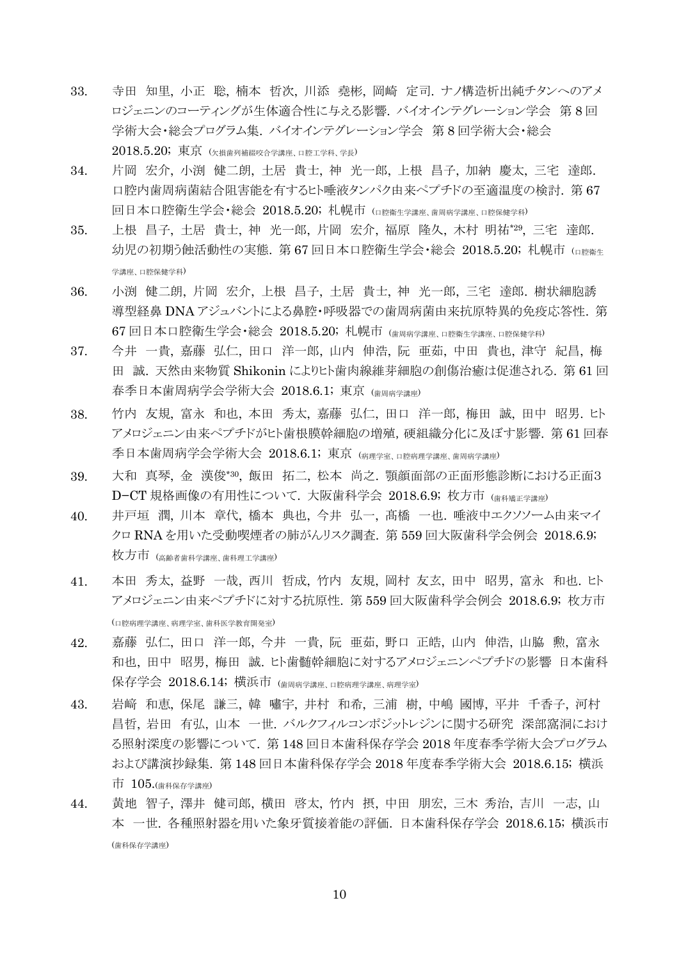- 33. 寺田 知里, 小正 聡, 楠本 哲次, 川添 堯彬, 岡崎 定司. ナノ構造析出純チタンへのアメ ロジェニンのコーティングが生体適合性に与える影響. バイオインテグレーション学会 第 8 回 学術大会・総会プログラム集. バイオインテグレーション学会 第 8 回学術大会・総会  $2018.5.20; \nexists \bar{x}$  ( $\chi$ 損歯列補綴咬合学講座、口腔工学科、学長)
- 34. 片岡 宏介, 小渕 健二朗, 土居 貴士, 神 光一郎, 上根 昌子, 加納 慶太, 三宅 達郎. 口腔内歯周病菌結合阻害能を有するヒト唾液タンパク由来ペプチドの至適温度の検討. 第 67 回日本口腔衛生学会・総会 2018.5.20; 札幌市 (口腔衛生学講座、歯周病学講座、口腔保健学科)
- 35. 上根 昌子, 土居 貴士, 神 光一郎, 片岡 宏介, 福原 隆久, 木村 明祐\*29 , 三宅 達郎. 幼児の初期う蝕活動性の実態. 第 67 回日本口腔衛生学会・総会 2018.5.20; 札幌市 (ロ腔衛生 学講座、口腔保健学科)
- 36. 小渕 健二朗, 片岡 宏介, 上根 昌子, 土居 貴士, 神 光一郎, 三宅 達郎. 樹状細胞誘 導型経鼻 DNA アジュバントによる鼻腔・呼吸器での歯周病菌由来抗原特異的免疫応答性. 第 67 回日本口腔衛生学会・総会 2018.5.20; 札幌市 (歯周病学講座、口腔衛生学講座、口腔保健学科)
- 37. 今井 一貴, 嘉藤 弘仁, 田口 洋一郎, 山内 伸浩, 阮 亜茹, 中田 貴也, 津守 紀昌, 梅 田 誠. 天然由来物質 Shikonin によりヒト歯肉線維芽細胞の創傷治癒は促進される. 第 61 回 春季日本歯周病学会学術大会 2018.6.1; 東京 (歯周病学講座)
- 38. 竹内 友規, 富永 和也, 本田 秀太, 嘉藤 弘仁, 田口 洋一郎, 梅田 誠, 田中 昭男. ヒト アメロジェニン由来ペプチドがヒト歯根膜幹細胞の増殖,硬組織分化に及ぼす影響. 第 61 回春 季日本歯周病学会学術大会 2018.6.1; 東京 (病理学室、口腔病理学講座、歯周病学講座)
- 39. 大和 真琴, 金 漢俊\*30 , 飯田 拓二, 松本 尚之. 顎顔面部の正面形態診断における正面3 D−CT 規格画像の有用性について. 大阪歯科学会 2018.6.9; 枚方市 (歯科種正学講座)
- 40. 井戸垣 潤, 川本 章代, 橋本 典也, 今井 弘一, 髙橋 一也. 唾液中エクソソーム由来マイ クロ RNA を用いた受動喫煙者の肺がんリスク調査. 第 559 回大阪歯科学会例会 2018.6.9; 枚方市 (高齢者歯科学講座、歯科理工学講座)
- 41. 本田 秀太, 益野 一哉, 西川 哲成, 竹内 友規, 岡村 友玄, 田中 昭男, 富永 和也. ヒト アメロジェニン由来ペプチドに対する抗原性. 第 559 回大阪歯科学会例会 2018.6.9; 枚方市 (口腔病理学講座、病理学室、歯科医学教育開発室)
- 42. 嘉藤 弘仁, 田口 洋一郎, 今井 一貴, 阮 亜茹, 野口 正皓, 山内 伸浩, 山脇 勲, 富永 和也, 田中 昭男, 梅田 誠. ヒト歯髄幹細胞に対するアメロジェニンペプチドの影響 日本歯科 保存学会 2018.6.14; 横浜市 (歯周病学講座、口腔病理学講座、病理学室)
- 43. 岩﨑 和恵, 保尾 謙三, 韓 嘯宇, 井村 和希, 三浦 樹, 中嶋 國博, 平井 千香子, 河村 昌哲, 岩田 有弘, 山本 一世. バルクフィルコンポジットレジンに関する研究 深部窩洞におけ る照射深度の影響について. 第 148 回日本歯科保存学会 2018 年度春季学術大会プログラム および講演抄録集. 第 148 回日本歯科保存学会 2018 年度春季学術大会 2018.6.15; 横浜 市 105.(歯科保存学講座)
- 44. 黄地 智子, 澤井 健司郎, 横田 啓太, 竹内 摂, 中田 朋宏, 三木 秀治, 吉川 一志, 山 本 一世. 各種照射器を用いた象牙質接着能の評価. 日本歯科保存学会 2018.6.15; 横浜市 (歯科保存学講座)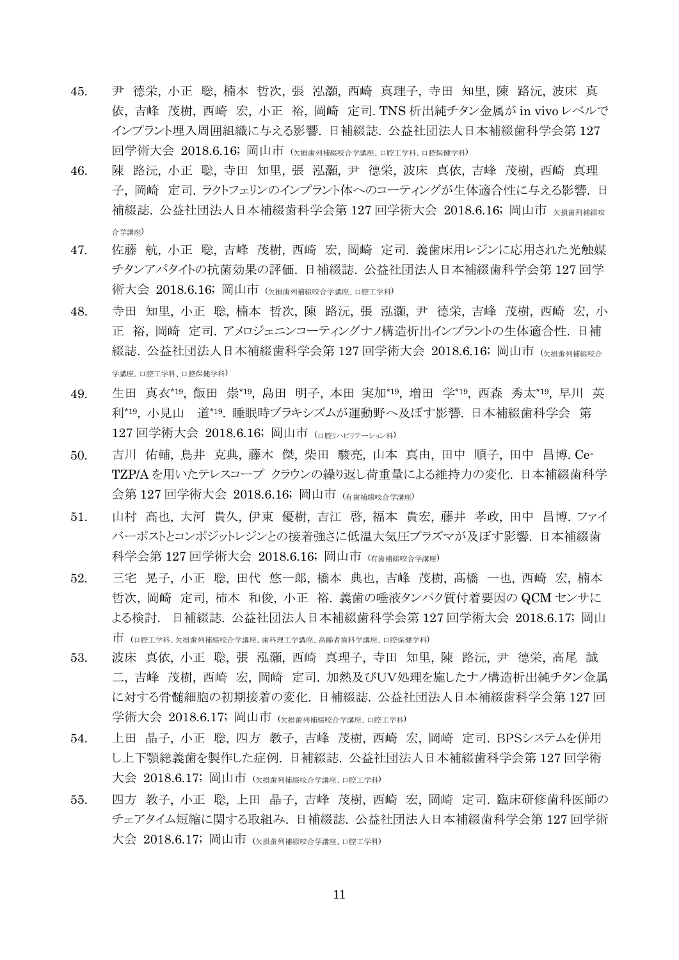- 45. 尹 德栄, 小正 聡, 楠本 哲次, 張 泓灝, 西崎 真理子, 寺田 知里, 陳 路沅, 波床 真 依, 吉峰 茂樹, 西崎 宏, 小正 裕, 岡崎 定司. TNS 析出純チタン金属が in vivo レベルで インプラント埋入周囲組織に与える影響. 日補綴誌. 公益社団法人日本補綴歯科学会第 127 回学術大会 2018.6.16; 岡山市 (欠損歯列補綴咬合学講座、口腔工学科、口腔保健学科)
- 46. 陳 路沅, 小正 聡, 寺田 知里, 張 泓灝, 尹 德栄, 波床 真依, 吉峰 茂樹, 西崎 真理 子, 岡崎 定司. ラクトフェリンのインプラント体へのコーティングが生体適合性に与える影響. 日 補綴誌. 公益社団法人日本補綴歯科学会第 127 回学術大会 2018.6.16; 岡山市 K指歯列補綴咬 合学講座)
- 47. 佐藤 航, 小正 聡, 吉峰 茂樹, 西崎 宏, 岡崎 定司. 義歯床用レジンに応用された光触媒 チタンアパタイトの抗菌効果の評価. 日補綴誌. 公益社団法人日本補綴歯科学会第 127 回学 術大会 2018.6.16; 岡山市 (欠損歯列補綴咬合学講座、口腔工学科)
- 48. 寺田 知里, 小正 聡, 楠本 哲次, 陳 路沅, 張 泓灝, 尹 德栄, 吉峰 茂樹, 西崎 宏, 小 正 裕, 岡崎 定司. アメロジェニンコーティングナノ構造析出インプラントの生体適合性. 日補 綴誌. 公益社団法人日本補綴歯科学会第 127 回学術大会 2018.6.16; 岡山市 (欠損歯列補綴咬合 学講座、口腔工学科、口腔保健学科)
- 49. 生田 真衣\*19, 飯田 崇\*19, 島田 明子, 本田 実加\*19, 増田 学\*19, 西森 秀太\*19, 早川 英 利\*19 , 小見山 道\*19 . 睡眠時ブラキシズムが運動野へ及ぼす影響. 日本補綴歯科学会 第 127 回学術大会 2018.6.16; 岡山市 (口腔リハビリテーション科)
- 50. 吉川 佑輔, 鳥井 克典, 藤木 傑, 柴田 駿亮, 山本 真由, 田中 順子, 田中 昌博. Ce-TZP/A を用いたテレスコープ クラウンの繰り返し荷重量による維持力の変化. 日本補綴歯科学 会第 127 回学術大会 2018.6.16; 岡山市 (有歯補綴咬合学講座)
- 51. 山村 高也, 大河 貴久, 伊東 優樹, 吉江 啓, 福本 貴宏, 藤井 孝政, 田中 昌博. ファイ バーポストとコンポジットレジンとの接着強さに低温大気圧プラズマが及ぼす影響. 日本補綴歯 科学会第 127 回学術大会 2018.6.16; 岡山市 (有歯補綴咬合学講座)
- 52. 三宅 晃子, 小正 聡, 田代 悠一郎, 橋本 典也, 吉峰 茂樹, 髙橋 一也, 西崎 宏, 楠本 哲次, 岡崎 定司, 柿本 和俊, 小正 裕. 義歯の唾液タンパク質付着要因の QCM センサに よる検討. 日補綴誌. 公益社団法人日本補綴歯科学会第 127 回学術大会 2018.6.17; 岡山 市 (口腔工学科、欠損歯列補綴咬合学講座、歯科理工学講座、高齢者歯科学講座、口腔保健学科)
- 53. 波床 真依, 小正 聡, 張 泓灝, 西崎 真理子, 寺田 知里, 陳 路沅, 尹 德栄, 高尾 誠 二, 吉峰 茂樹, 西崎 宏, 岡崎 定司. 加熱及びUV処理を施したナノ構造析出純チタン金属 に対する骨髄細胞の初期接着の変化. 日補綴誌. 公益社団法人日本補綴歯科学会第 127 回 学術大会 2018.6.17; 岡山市 (欠損歯列補綴咬合学講座 口腔工学科)
- 54. 上田 晶子, 小正 聡, 四方 教子, 吉峰 茂樹, 西崎 宏, 岡崎 定司. BPSシステムを併用 し上下顎総義歯を製作した症例. 日補綴誌. 公益社団法人日本補綴歯科学会第 127 回学術 大会 2018.6.17; 岡山市 (欠損歯列補綴咬合学講座、口腔工学科)
- 55. 四方 教子, 小正 聡, 上田 晶子, 吉峰 茂樹, 西崎 宏, 岡崎 定司. 臨床研修歯科医師の チェアタイム短縮に関する取組み. 日補綴誌. 公益社団法人日本補綴歯科学会第 127 回学術 大会 2018.6.17; 岡山市 (欠損歯列補綴咬合学講座、口腔工学科)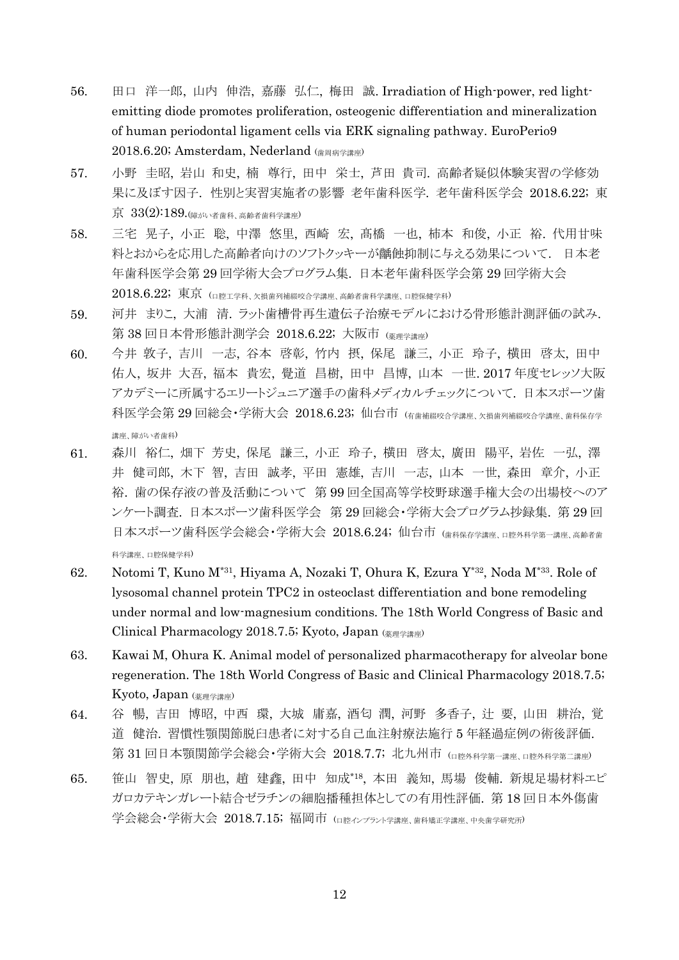- 56. 田口 洋一郎, 山内 伸浩, 嘉藤 弘仁, 梅田 誠. Irradiation of High-power, red lightemitting diode promotes proliferation, osteogenic differentiation and mineralization of human periodontal ligament cells via ERK signaling pathway. EuroPerio9 2018.6.20; Amsterdam, Nederland (歯周病学講座)
- 57. 小野 圭昭, 岩山 和史, 楠 尊行, 田中 栄士, 芦田 貴司. 高齢者疑似体験実習の学修効 果に及ぼす因子. 性別と実習実施者の影響 老年歯科医学. 老年歯科医学会 2018.6.22; 東 京 33(2):189.(障がい者歯科、高齢者歯科学講座)
- 58. 三宅 晃子, 小正 聡, 中澤 悠里, 西崎 宏, 髙橋 一也, 柿本 和俊, 小正 裕. 代用甘味 料とおからを応用した高齢者向けのソフトクッキーが齲蝕抑制に与える効果について. 日本老 年歯科医学会第 29 回学術大会プログラム集. 日本老年歯科医学会第 29 回学術大会  $2018.6.22$ ; 東京 (ロ腔工学科、欠損歯列補綴咬合学講座、高齢者歯科学講座、口腔保健学科)
- 59. 河井 まりこ, 大浦 清. ラット歯槽骨再生遺伝子治療モデルにおける骨形態計測評価の試み. 第 38 回日本骨形態計測学会 2018.6.22; 大阪市 (薬理学講座)
- 60. 今井 敦子, 吉川 一志, 谷本 啓彰, 竹内 摂, 保尾 謙三, 小正 玲子, 横田 啓太, 田中 佑人, 坂井 大吾, 福本 貴宏, 覺道 昌樹, 田中 昌博, 山本 一世. 2017 年度セレッソ大阪 アカデミーに所属するエリートジュニア選手の歯科メディカルチェックについて. 日本スポーツ歯 科医学会第 29 回総会・学術大会 2018.6.23; 仙台市 (有歯補綴咬合学講座、欠損歯列補綴咬合学講座、歯科保存学 講座、障がい者歯科)
- 61. 森川 裕仁, 畑下 芳史, 保尾 謙三, 小正 玲子, 横田 啓太, 廣田 陽平, 岩佐 一弘, 澤 井 健司郎, 木下 智, 吉田 誠孝, 平田 憲雄, 吉川 一志, 山本 一世, 森田 章介, 小正 裕. 歯の保存液の普及活動について 第 99 回全国高等学校野球選手権大会の出場校へのア ンケート調査. 日本スポーツ歯科医学会 第 29 回総会・学術大会プログラム抄録集. 第 29 回 日本スポーツ歯科医学会総会・学術大会 2018.6.24; 仙台市 (歯科保存学講座、口腔外科学第一講座、高齢者歯 科学講座、口腔保健学科)
- 62. Notomi T, Kuno M\*31, Hiyama A, Nozaki T, Ohura K, Ezura Y\*32, Noda M\*33. Role of lysosomal channel protein TPC2 in osteoclast differentiation and bone remodeling under normal and low-magnesium conditions. The 18th World Congress of Basic and Clinical Pharmacology 2018.7.5; Kyoto, Japan (薬理学講座)
- 63. Kawai M, Ohura K. Animal model of personalized pharmacotherapy for alveolar bone regeneration. The 18th World Congress of Basic and Clinical Pharmacology 2018.7.5; Kyoto, Japan (薬理学講座)
- 64. 谷 暢, 吉田 博昭, 中西 環, 大城 庸嘉, 酒匂 潤, 河野 多香子, 辻 要, 山田 耕治, 覚 道 健治. 習慣性顎関節脱臼患者に対する自己血注射療法施行 5 年経過症例の術後評価. 第 31 回日本顎関節学会総会・学術大会 2018.7.7; 北九州市 (ロ腔外科学第二講座、口腔外科学第二講座)
- 65. 笹山 智史, 原 朋也, 趙 建鑫, 田中 知成\*18 , 本田 義知, 馬場 俊輔. 新規足場材料エピ ガロカテキンガレート結合ゼラチンの細胞播種担体としての有用性評価. 第 18 回日本外傷歯 学会総会・学術大会 2018.7.15; 福岡市 (ロ腔インプラント学講座 歯科矯正学講座、中央歯学研究所)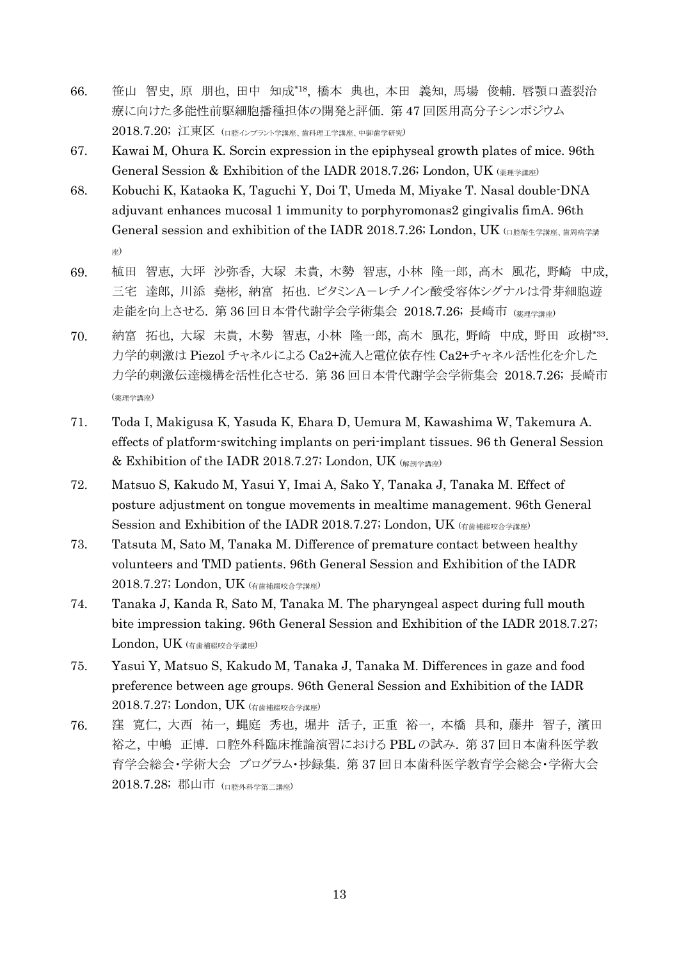- 66. 笹山 智史, 原 朋也, 田中 知成\*18 , 橋本 典也, 本田 義知, 馬場 俊輔. 唇顎口蓋裂治 療に向けた多能性前駆細胞播種担体の開発と評価. 第 47 回医用高分子シンポジウム 2018.7.20; 江東区 (ロ腔インプラント学講座、歯科理工学講座、中御歯学研究)
- 67. Kawai M, Ohura K. Sorcin expression in the epiphyseal growth plates of mice. 96th General Session & Exhibition of the IADR 2018.7.26; London, UK (薬理学講座)
- 68. Kobuchi K, Kataoka K, Taguchi Y, Doi T, Umeda M, Miyake T. Nasal double-DNA adjuvant enhances mucosal 1 immunity to porphyromonas2 gingivalis fimA. 96th General session and exhibition of the IADR 2018.7.26; London, UK (口腔衛生学講座、歯周病学講 座)
- 69. 植田 智恵, 大坪 沙弥香, 大塚 未貴, 木勢 智恵, 小林 隆一郎, 高木 風花, 野崎 中成, 三宅 達郎, 川添 堯彬, 納富 拓也. ビタミンA-レチノイン酸受容体シグナルは骨芽細胞遊 走能を向上させる. 第 36 回日本骨代謝学会学術集会 2018.7.26; 長崎市 (薬理学講座)
- 70. 納富 拓也, 大塚 未貴, 木勢 智恵, 小林 隆一郎, 高木 風花, 野崎 中成, 野田 政樹\*33 . 力学的刺激は Piezol チャネルによる Ca2+流入と電位依存性 Ca2+チャネル活性化を介した 力学的刺激伝達機構を活性化させる. 第 36 回日本骨代謝学会学術集会 2018.7.26; 長崎市 (薬理学講座)
- 71. Toda I, Makigusa K, Yasuda K, Ehara D, Uemura M, Kawashima W, Takemura A. effects of platform-switching implants on peri-implant tissues. 96 th General Session & Exhibition of the IADR 2018.7.27; London, UK (解剖学講座)
- 72. Matsuo S, Kakudo M, Yasui Y, Imai A, Sako Y, Tanaka J, Tanaka M. Effect of posture adjustment on tongue movements in mealtime management. 96th General Session and Exhibition of the IADR 2018.7.27; London, UK (有歯補綴咬合学講座)
- 73. Tatsuta M, Sato M, Tanaka M. Difference of premature contact between healthy volunteers and TMD patients. 96th General Session and Exhibition of the IADR 2018.7.27; London, UK (有歯補綴咬合学講座)
- 74. Tanaka J, Kanda R, Sato M, Tanaka M. The pharyngeal aspect during full mouth bite impression taking. 96th General Session and Exhibition of the IADR 2018.7.27; London, UK (有歯補綴咬合学講座)
- 75. Yasui Y, Matsuo S, Kakudo M, Tanaka J, Tanaka M. Differences in gaze and food preference between age groups. 96th General Session and Exhibition of the IADR 2018.7.27; London, UK (有歯補綴咬合学講座)
- 76. 窪 寛仁, 大西 祐一, 蝿庭 秀也, 堀井 活子, 正重 裕一, 本橋 具和, 藤井 智子, 濱田 裕之, 中嶋 正博. 口腔外科臨床推論演習における PBL の試み. 第 37 回日本歯科医学教 育学会総会・学術大会 プログラム・抄録集. 第 37 回日本歯科医学教育学会総会・学術大会 2018.7.28; 郡山市 (口腔外科学第二講座)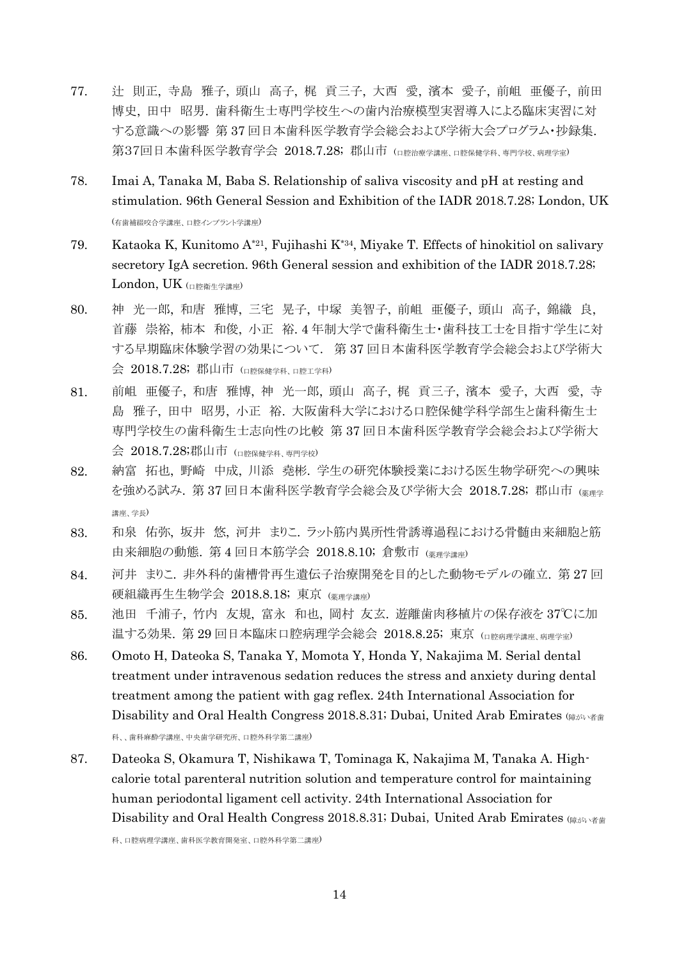- 77. 辻 則正, 寺島 雅子, 頭山 高子, 梶 貢三子, 大西 愛, 濱本 愛子, 前岨 亜優子, 前田 博史, 田中 昭男. 歯科衛生士専門学校生への歯内治療模型実習導入による臨床実習に対 する意識への影響 第 37 回日本歯科医学教育学会総会および学術大会プログラム・抄録集. 第37回日本歯科医学教育学会 2018.7.28; 郡山市 (ロ腔治療学講座 ロ腔保健学科 専門学校 病理学室)
- 78. Imai A, Tanaka M, Baba S. Relationship of saliva viscosity and pH at resting and stimulation. 96th General Session and Exhibition of the IADR 2018.7.28; London, UK (有歯補綴咬合学講座、口腔インプラント学講座)
- 79. Kataoka K, Kunitomo A\*21, Fujihashi K\*34, Miyake T. Effects of hinokitiol on salivary secretory IgA secretion. 96th General session and exhibition of the IADR 2018.7.28; London, UK (口腔衛生学講座)
- 80. 神 光一郎, 和唐 雅博, 三宅 晃子, 中塚 美智子, 前岨 亜優子, 頭山 高子, 錦織 良, 首藤 崇裕, 柿本 和俊, 小正 裕. 4 年制大学で歯科衛生士・歯科技工士を目指す学生に対 する早期臨床体験学習の効果について. 第 37 回日本歯科医学教育学会総会および学術大 会 2018.7.28; 郡山市 (ロ腔保健学科、口腔工学科)
- 81. 前岨 亜優子, 和唐 雅博, 神 光一郎, 頭山 高子, 梶 貢三子, 濱本 愛子, 大西 愛, 寺 島 雅子, 田中 昭男, 小正 裕. 大阪歯科大学における口腔保健学科学部生と歯科衛生士 専門学校生の歯科衛生士志向性の比較 第 37 回日本歯科医学教育学会総会および学術大 会 2018.7.28;郡山市 (口腔保健学科、専門学校)
- 82. 納富 拓也, 野崎 中成, 川添 堯彬. 学生の研究体験授業における医生物学研究への興味 を強める試み. 第 37回日本歯科医学教育学会総会及び学術大会 2018.7.28; 郡山市 (※型 講座、学長)
- 83. 和泉 佑弥, 坂井 悠, 河井 まりこ. ラット筋内異所性骨誘導過程における骨髄由来細胞と筋 由来細胞の動態. 第4回日本筋学会 2018.8.10; 倉敷市 (※理学講座)
- 84. 河井 まりこ. 非外科的歯槽骨再生遺伝子治療開発を目的とした動物モデルの確立. 第 27 回 硬組織再生生物学会 2018.8.18; 東京 (薬理学講座)
- 85. 池田 千浦子, 竹内 友規, 富永 和也, 岡村 友玄. 遊離歯肉移植片の保存液を 37℃に加 温する効果. 第 29 回日本臨床口腔病理学会総会 2018.8.25; 東京 (ロ腔病理学講座、病理学室)
- 86. Omoto H, Dateoka S, Tanaka Y, Momota Y, Honda Y, Nakajima M. Serial dental treatment under intravenous sedation reduces the stress and anxiety during dental treatment among the patient with gag reflex. 24th International Association for Disability and Oral Health Congress 2018.8.31; Dubai, United Arab Emirates ( $\frac{m}{\phi}$ 科、、歯科麻酔学講座、中央歯学研究所、口腔外科学第二講座)
- 87. Dateoka S, Okamura T, Nishikawa T, Tominaga K, Nakajima M, Tanaka A. Highcalorie total parenteral nutrition solution and temperature control for maintaining human periodontal ligament cell activity. 24th International Association for Disability and Oral Health Congress 2018.8.31; Dubai, United Arab Emirates  $(g_{\hat{\theta}N} \rightarrow g_{\hat{\theta}})$

科、口腔病理学講座、歯科医学教育開発室、口腔外科学第二講座)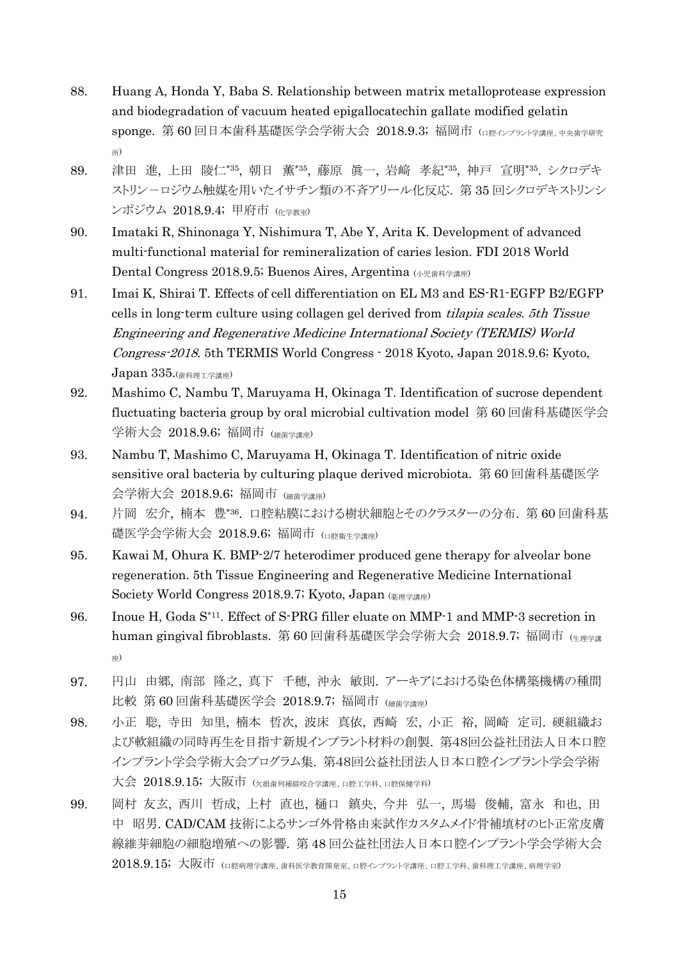- 88. Huang A, Honda Y, Baba S. Relationship between matrix metalloprotease expression and biodegradation of vacuum heated epigallocatechin gallate modified gelatin sponge. 第 60 回日本歯科基礎医学会学術大会 2018.9.3; 福岡市 (口腔インプラント学講座、中央歯学研究 所)
- 89. 津田 進, 上田 陵仁\*35 , 朝日 薫\*35 , 藤原 眞一, 岩﨑 孝紀\*35 , 神戸 宣明\*35 . シクロデキ ストリンーロジウム触媒を用いたイサチン類の不斉アリール化反応. 第 35 回シクロデキストリンシ ンポジウム 2018.9.4; 甲府市 (化学教室)
- 90. Imataki R, Shinonaga Y, Nishimura T, Abe Y, Arita K. Development of advanced multi-functional material for remineralization of caries lesion. FDI 2018 World Dental Congress 2018.9.5; Buenos Aires, Argentina (小児歯科学講座)
- 91. Imai K, Shirai T. Effects of cell differentiation on EL M3 and ES-R1-EGFP B2/EGFP cells in long-term culture using collagen gel derived from tilapia scales. 5th Tissue Engineering and Regenerative Medicine International Society (TERMIS) World Congress-2018. 5th TERMIS World Congress - 2018 Kyoto, Japan 2018.9.6; Kyoto,  $Japan 335.$  $($ 歯科理工学講座 $)$
- 92. Mashimo C, Nambu T, Maruyama H, Okinaga T. Identification of sucrose dependent fluctuating bacteria group by oral microbial cultivation model 第 60 回歯科基礎医学会 学術大会 2018.9.6; 福岡市 (細菌学講座)
- 93. Nambu T, Mashimo C, Maruyama H, Okinaga T. Identification of nitric oxide sensitive oral bacteria by culturing plaque derived microbiota. 第 60 回歯科基礎医学 会学術大会 2018.9.6; 福岡市 (細菌学講座)
- 94. 片岡 宏介, 楠本 豊\*36 . 口腔粘膜における樹状細胞とそのクラスターの分布. 第 60 回歯科基 礎医学会学術大会 2018.9.6; 福岡市 (口腔衛生学講座)
- 95. Kawai M, Ohura K. BMP-2/7 heterodimer produced gene therapy for alveolar bone regeneration. 5th Tissue Engineering and Regenerative Medicine International Society World Congress 2018.9.7; Kyoto, Japan (薬理学講座)
- 96. Inoue H, Goda S\*11. Effect of S-PRG filler eluate on MMP-1 and MMP-3 secretion in human gingival fibroblasts. 第 60 回歯科基礎医学会学術大会 2018.9.7; 福岡市 (生理学講 座)
- 97. 円山 由郷, 南部 隆之, 真下 千穂, 沖永 敏則. アーキアにおける染色体構築機構の種間 比較 第 60 回歯科基礎医学会 2018.9.7; 福岡市 (細菌学講座)
- 98. 小正 聡, 寺田 知里, 楠本 哲次, 波床 真依, 西崎 宏, 小正 裕, 岡崎 定司. 硬組織お よび軟組織の同時再生を目指す新規インプラント材料の創製. 第48回公益社団法人日本口腔 インプラント学会学術大会プログラム集. 第48回公益社団法人日本口腔インプラント学会学術 大会 2018.9.15; 大阪市 (欠損歯列補綴咬合学講座、口腔工学科、口腔保健学科)
- 99. 岡村 友玄, 西川 哲成, 上村 直也, 樋口 鎮央, 今井 弘一, 馬場 俊輔, 富永 和也, 田 中 昭男. CAD/CAM 技術によるサンゴ外骨格由来試作カスタムメイド骨補填材のヒト正常皮膚 線維芽細胞の細胞増殖への影響. 第 48 回公益社団法人日本口腔インプラント学会学術大会  $2018.9.15; \; \text{\textsterling}\, \overline{\rm K}$  (ロ腔病理学講座、歯科医学教育開発室、口腔インプラント学講座、口腔工学科、歯科理工学講座、病理学室)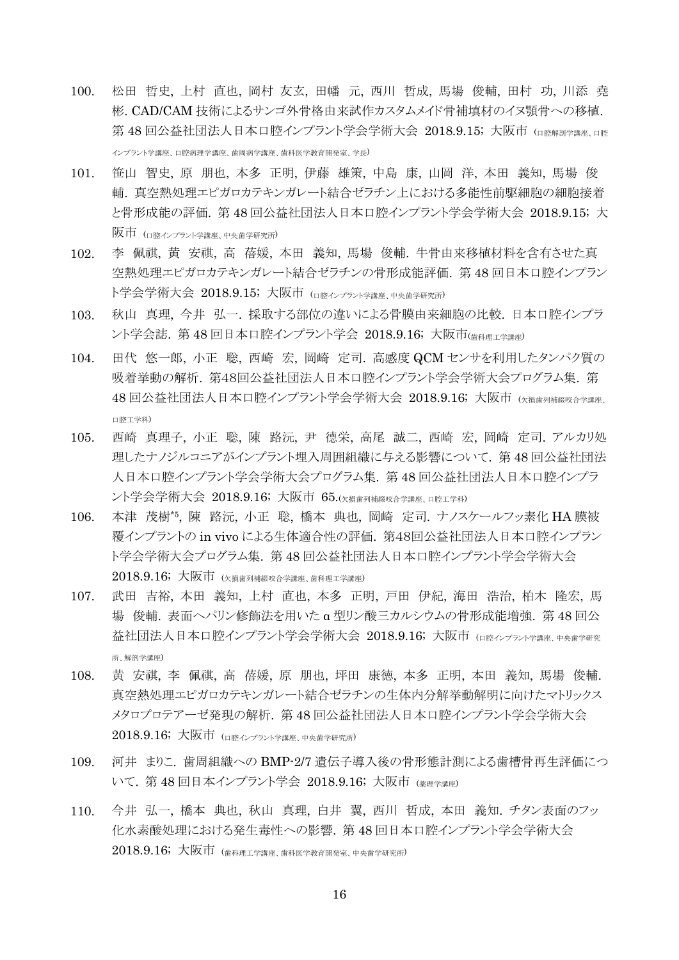- 100. 松田 哲史, 上村 直也, 岡村 友玄, 田幡 元, 西川 哲成, 馬場 俊輔, 田村 功, 川添 堯 彬. CAD/CAM 技術によるサンゴ外骨格由来試作カスタムメイド骨補填材のイヌ顎骨への移植. 第48回公益社団法人日本口腔インプラント学会学術大会 2018.9.15; 大阪市 (ロ腔解剖学講座 ロ腔 インプラント学講座、口腔病理学講座、歯周病学講座、歯科医学教育開発室、学長)
- 101. 笹山 智史, 原 朋也, 本多 正明, 伊藤 雄策, 中島 康, 山岡 洋, 本田 義知, 馬場 俊 輔. 真空熱処理エピガロカテキンガレート結合ゼラチン上における多能性前駆細胞の細胞接着 と骨形成能の評価. 第 48 回公益社団法人日本口腔インプラント学会学術大会 2018.9.15; 大 阪市 (口腔インプラント学講座、中央歯学研究所)
- 102. 李 佩祺, 黄 安祺, 高 蓓媛, 本田 義知, 馬場 俊輔. 牛骨由来移植材料を含有させた真 空熱処理エピガロカテキンガレート結合ゼラチンの骨形成能評価. 第 48 回日本口腔インプラン ト学会学術大会 2018.9.15; 大阪市 (ロ腔インプラント学講座、中央歯学研究所)
- 103. 秋山 真理, 今井 弘一. 採取する部位の違いによる骨膜由来細胞の比較. 日本口腔インプラ ント学会誌. 第48回日本口腔インプラント学会 2018.9.16; 大阪市(歯科理工学講座)
- 104. 田代 悠一郎, 小正 聡, 西崎 宏, 岡崎 定司. 高感度 QCM センサを利用したタンパク質の 吸着挙動の解析. 第48回公益社団法人日本口腔インプラント学会学術大会プログラム集. 第 48回公益社団法人日本口腔インプラント学会学術大会 2018.9.16; 大阪市 (欠損歯列補綴咬合学講座、 口腔工学科)
- 105. 西崎 真理子, 小正 聡, 陳 路沅, 尹 德栄, 高尾 誠二, 西崎 宏, 岡崎 定司. アルカリ処 理したナノジルコニアがインプラント埋入周囲組織に与える影響について. 第 48 回公益社団法 人日本口腔インプラント学会学術大会プログラム集. 第 48 回公益社団法人日本口腔インプラ ント学会学術大会 2018.9.16; 大阪市 65.(欠損歯列補綴咬合学講座、口腔工学科)
- 106. 本津 茂樹\*5 , 陳 路沅, 小正 聡, 橋本 典也, 岡崎 定司. ナノスケールフッ素化 HA 膜被 覆インプラントの in vivo による生体適合性の評価. 第48回公益社団法人日本口腔インプラン ト学会学術大会プログラム集. 第 48 回公益社団法人日本口腔インプラント学会学術大会 2018.9.16; 大阪市 (欠損歯列補綴咬合学講座、歯科理工学講座)
- 107. 武田 吉裕, 本田 義知, 上村 直也, 本多 正明, 戸田 伊紀, 海田 浩治, 柏木 隆宏, 馬 場 俊輔. 表面ヘパリン修飾法を用いた α 型リン酸三カルシウムの骨形成能増強. 第 48 回公 益社団法人日本口腔インプラント学会学術大会 2018.9.16; 大阪市 (ロ腔インプラント学講座、中央歯学研究 所、解剖学講座)
- 108. 黄 安祺, 李 佩祺, 高 蓓媛, 原 朋也, 坪田 康徳, 本多 正明, 本田 義知, 馬場 俊輔. 真空熱処理エピガロカテキンガレート結合ゼラチンの生体内分解挙動解明に向けたマトリックス メタロプロテアーゼ発現の解析. 第 48 回公益社団法人日本口腔インプラント学会学術大会 2018.9.16; 大阪市 (ロ腔インプラント学講座、中央歯学研究所)
- 109. 河井 まりこ. 歯周組織への BMP-2/7 遺伝子導入後の骨形態計測による歯槽骨再生評価につ いて. 第 48 回日本インプラント学会 2018.9.16; 大阪市 (薬理学講座)
- 110. 今井 弘一, 橋本 典也, 秋山 真理, 白井 翼, 西川 哲成, 本田 義知. チタン表面のフッ 化水素酸処理における発生毒性への影響. 第 48 回日本口腔インプラント学会学術大会 2018.9.16; 大阪市 (歯科理工学講座、歯科医学教育開発室、中央歯学研究所)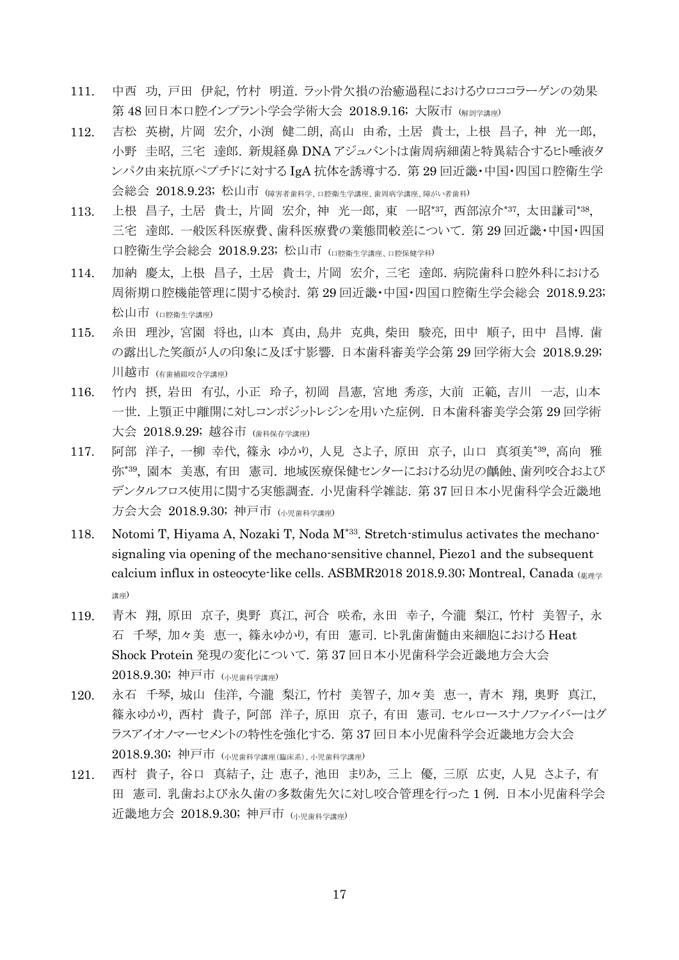- 111. 中西 功, 戸田 伊紀, 竹村 明道. ラット骨欠損の治癒過程におけるウロココラーゲンの効果 第48回日本口腔インプラント学会学術大会 2018.9.16; 大阪市 (解剖学講座)
- 112. 吉松 英樹, 片岡 宏介, 小渕 健二朗, 高山 由希, 土居 貴士, 上根 昌子, 神 光一郎, 小野 圭昭, 三宅 達郎. 新規経鼻 DNA アジュバントは歯周病細菌と特異結合するヒト唾液タ ンパク由来抗原ペプチドに対する IgA 抗体を誘導する. 第 29 回近畿・中国・四国口腔衛生学 会総会 2018.9.23; 松山市 (障害者歯科学、口腔衛生学講座、歯周病学講座、障がい者歯科)
- 113. 上根 昌子, 土居 貴士, 片岡 宏介, 神 光一郎, 東 一昭\*37, 西部涼介\*37, 太田謙司\*38, 三宅 達郎. 一般医科医療費、歯科医療費の業態間較差について. 第 29 回近畿・中国・四国 口腔衛生学会総会 2018.9.23; 松山市 (口腔衛生学講座、口腔保健学科)
- 114. 加納 慶太, 上根 昌子, 土居 貴士, 片岡 宏介, 三宅 達郎. 病院歯科口腔外科における 周術期口腔機能管理に関する検討. 第 29 回近畿・中国・四国口腔衛生学会総会 2018.9.23; 松山市 (口腔衛生学講座)
- 115. 糸田 理沙, 宮園 将也, 山本 真由, 鳥井 克典, 柴田 駿亮, 田中 順子, 田中 昌博. 歯 の露出した笑顔が人の印象に及ぼす影響. 日本歯科審美学会第 29 回学術大会 2018.9.29; 川越市 (有歯補綴咬合学講座)
- 116. 竹内 摂, 岩田 有弘, 小正 玲子, 初岡 昌憲, 宮地 秀彦, 大前 正範, 吉川 一志, 山本 一世. 上顎正中離開に対しコンポジットレジンを用いた症例. 日本歯科審美学会第 29 回学術 大会 2018.9.29; 越谷市 (歯科保存学講座)
- 117. 阿部 洋子, 一柳 幸代, 篠永 ゆかり, 人見 さよ子, 原田 京子, 山口 真須美\*39 , 高向 雅 弥\*39 , 園本 美惠, 有田 憲司. 地域医療保健センターにおける幼児の齲蝕、歯列咬合および デンタルフロス使用に関する実態調査. 小児歯科学雑誌. 第 37 回日本小児歯科学会近畿地 方会大会 2018.9.30; 神戸市 (小児歯科学講座)
- 118. Notomi T, Hiyama A, Nozaki T, Noda M\*33. Stretch-stimulus activates the mechanosignaling via opening of the mechano-sensitive channel, Piezo1 and the subsequent calcium influx in osteocyte-like cells. ASBMR2018 2018.9.30; Montreal, Canada (薬理学 講座)
- 119. 青木 翔, 原田 京子, 奥野 真江, 河合 咲希, 永田 幸子, 今瀧 梨江, 竹村 美智子, 永 石 千琴, 加々美 恵一, 篠永ゆかり, 有田 憲司. ヒト乳歯歯髄由来細胞における Heat Shock Protein 発現の変化について. 第 37 回日本小児歯科学会近畿地方会大会 2018.9.30; 神戸市 (小児歯科学講座)
- 120. 永石 千琴, 城山 佳洋, 今瀧 梨江, 竹村 美智子, 加々美 恵一, 青木 翔, 奥野 真江, 篠永ゆかり, 西村 貴子, 阿部 洋子, 原田 京子, 有田 憲司. セルロースナノファイバーはグ ラスアイオノマーセメントの特性を強化する. 第 37 回日本小児歯科学会近畿地方会大会 2018.9.30; 神戸市 (小児歯科学講座(臨床系)、小児歯科学講座)
- 121. 西村 貴子, 谷口 真結子, 辻 恵子, 池田 まりあ, 三上 優, 三原 広吏, 人見 さよ子, 有 田 憲司. 乳歯および永久歯の多数歯先欠に対し咬合管理を行った 1 例. 日本小児歯科学会 近畿地方会 2018.9.30; 神戸市 (小児歯科学講座)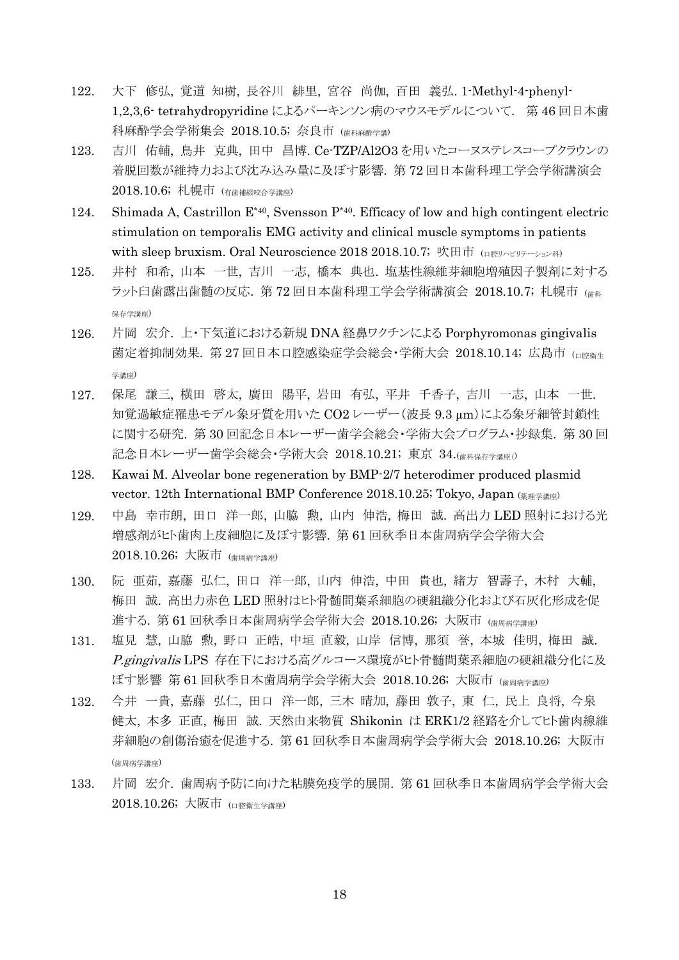- 122. 大下 修弘, 覚道 知樹, 長谷川 緋里, 宮谷 尚伽, 百田 義弘. 1-Methyl-4-phenyl-1,2,3,6- tetrahydropyridine によるパーキンソン病のマウスモデルについて. 第 46 回日本歯 科麻酔学会学術集会 2018.10.5; 奈良市 (歯科麻酔学講)
- 123. 吉川 佑輔, 鳥井 克典, 田中 昌博. Ce-TZP/Al2O3 を用いたコーヌステレスコープクラウンの 着脱回数が維持力および沈み込み量に及ぼす影響. 第 72 回日本歯科理工学会学術講演会 2018.10.6; 札幌市 (有歯補綴咬合学講座)
- 124. Shimada A, Castrillon  $E^{*40}$ , Svensson  $P^{*40}$ . Efficacy of low and high contingent electric stimulation on temporalis EMG activity and clinical muscle symptoms in patients with sleep bruxism. Oral Neuroscience 2018 2018.10.7; 吹田市  $\left( \text{QPE} \right)$
- 125. 井村 和希, 山本 一世, 吉川 一志, 橋本 典也. 塩基性線維芽細胞増殖因子製剤に対する ラット臼歯露出歯髄の反応. 第72回日本歯科理工学会学術講演会 2018.10.7; 札幌市 (歯科 保存学講座)
- 126. 片岡 宏介. 上・下気道における新規 DNA 経鼻ワクチンによる Porphyromonas gingivalis 菌定着抑制効果. 第 27 回日本口腔感染症学会総会·学術大会 2018.10.14; 広島市 (pregiste 学講座)
- 127. 保尾 謙三, 横田 啓太, 廣田 陽平, 岩田 有弘, 平井 千香子, 吉川 一志, 山本 一世. 知覚過敏症罹患モデル象牙質を用いた CO2 レーザー(波長 9.3 µm)による象牙細管封鎖性 に関する研究. 第 30 回記念日本レーザー歯学会総会・学術大会プログラム・抄録集. 第 30 回 記念日本レーザー歯学会総会・学術大会 2018.10.21; 東京 34.(歯科保存学講座()
- 128. Kawai M. Alveolar bone regeneration by BMP-2/7 heterodimer produced plasmid vector. 12th International BMP Conference 2018.10.25; Tokyo, Japan (薬理学講座)
- 129. 中島 幸市朗, 田口 洋一郎, 山脇 勲, 山内 伸浩, 梅田 誠. 高出力 LED 照射における光 増感剤がヒト歯肉上皮細胞に及ぼす影響. 第 61 回秋季日本歯周病学会学術大会 2018.10.26; 大阪市 (歯周病学講座)
- 130. 阮 亜茹, 嘉藤 弘仁, 田口 洋一郎, 山内 伸浩, 中田 貴也, 緒方 智壽子, 木村 大輔, 梅田 誠. 高出力赤色 LED 照射はヒト骨髄間葉系細胞の硬組織分化および石灰化形成を促 進する. 第61回秋季日本歯周病学会学術大会 2018.10.26; 大阪市 (歯周病学講座)
- 131. 塩見 慧, 山脇 勲, 野口 正皓, 中垣 直毅, 山岸 信博, 那須 誉, 本城 佳明, 梅田 誠. P.gingivalis LPS 存在下における高グルコース環境がヒト骨髄間葉系細胞の硬組織分化に及 ぼす影響 第 61 回秋季日本歯周病学会学術大会 2018.10.26; 大阪市 (歯周病学講座)
- 132. 今井 一貴, 嘉藤 弘仁, 田口 洋一郎, 三木 晴加, 藤田 敦子, 東 仁, 民上 良将, 今泉 健太, 本多 正直, 梅田 誠. 天然由来物質 Shikonin は ERK1/2 経路を介してヒト歯肉線維 芽細胞の創傷治癒を促進する. 第 61 回秋季日本歯周病学会学術大会 2018.10.26; 大阪市 (歯周病学講座)
- 133. 片岡 宏介. 歯周病予防に向けた粘膜免疫学的展開. 第 61 回秋季日本歯周病学会学術大会 2018.10.26; 大阪市 (口腔衛生学講座)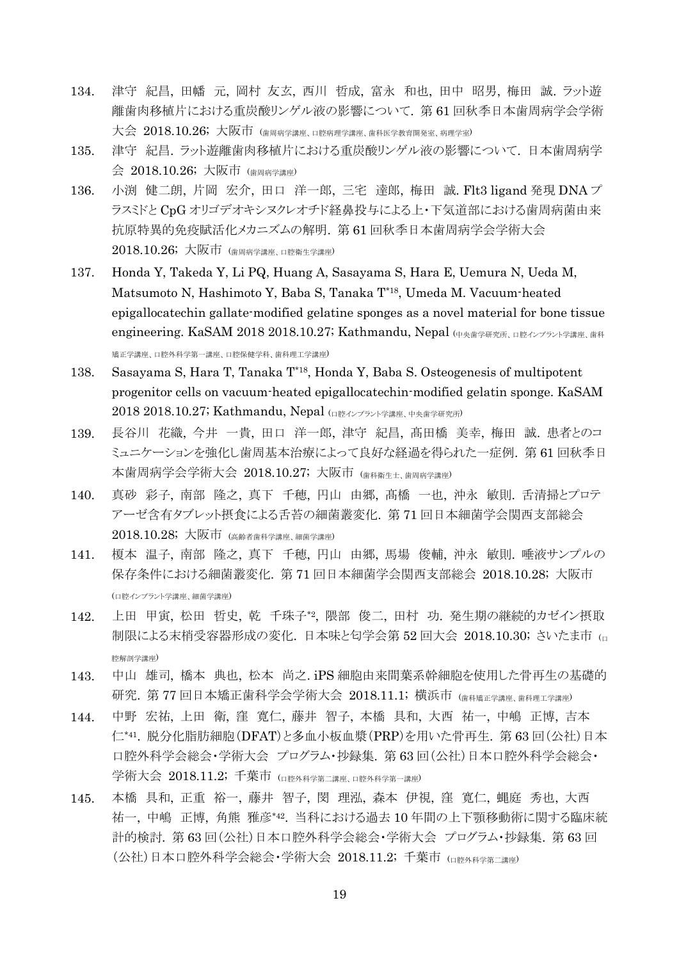- 134. 津守 紀昌, 田幡 元, 岡村 友玄, 西川 哲成, 富永 和也, 田中 昭男, 梅田 誠. ラット遊 離歯肉移植片における重炭酸リンゲル液の影響について. 第 61 回秋季日本歯周病学会学術 大会 2018.10.26; 大阪市 (歯周病学講座、口腔病理学講座、歯科医学教育開発室、病理学室)
- 135. 津守 紀昌. ラット遊離歯肉移植片における重炭酸リンゲル液の影響について. 日本歯周病学 会 2018.10.26; 大阪市 (歯周病学講座)
- 136. 小渕 健二朗, 片岡 宏介, 田口 洋一郎, 三宅 達郎, 梅田 誠. Flt3 ligand 発現 DNA プ ラスミドと CpG オリゴデオキシヌクレオチド経鼻投与による上・下気道部における歯周病菌由来 抗原特異的免疫賦活化メカニズムの解明. 第 61 回秋季日本歯周病学会学術大会 2018.10.26; 大阪市 (歯周病学講座、口腔衛生学講座)
- 137. Honda Y, Takeda Y, Li PQ, Huang A, Sasayama S, Hara E, Uemura N, Ueda M, Matsumoto N, Hashimoto Y, Baba S, Tanaka T\*18, Umeda M. Vacuum-heated epigallocatechin gallate-modified gelatine sponges as a novel material for bone tissue engineering. KaSAM 2018 2018.10.27; Kathmandu, Nepal (中央歯学研究所、口腔インプラント学講座、歯科 矯正学講座、口腔外科学第一講座、口腔保健学科、歯科理工学講座)
- 138. Sasayama S, Hara T, Tanaka T\*18 , Honda Y, Baba S. Osteogenesis of multipotent progenitor cells on vacuum-heated epigallocatechin-modified gelatin sponge. KaSAM 2018 2018.10.27; Kathmandu, Nepal (口腔インプラント学講座、中央歯学研究所)
- 139. 長谷川 花織, 今井 一貴, 田口 洋一郎, 津守 紀昌, 髙田橋 美幸, 梅田 誠. 患者とのコ ミュニケーションを強化し歯周基本治療によって良好な経過を得られた一症例. 第 61 回秋季日 本歯周病学会学術大会 2018.10.27; 大阪市 (歯科衛生士、歯周病学講座)
- 140. 真砂 彩子, 南部 隆之, 真下 千穂, 円山 由郷, 髙橋 一也, 沖永 敏則. 舌清掃とプロテ アーゼ含有タブレット摂食による舌苔の細菌叢変化. 第 71 回日本細菌学会関西支部総会 2018.10.28; 大阪市 (高齢者歯科学講座、細菌学講座)
- 141. 榎本 温子, 南部 隆之, 真下 千穂, 円山 由郷, 馬場 俊輔, 沖永 敏則. 唾液サンプルの 保存条件における細菌叢変化. 第 71 回日本細菌学会関西支部総会 2018.10.28; 大阪市 (口腔インプラント学講座、細菌学講座)
- 142. 上田 甲寅, 松田 哲史, 乾 千珠子\*2 , 隈部 俊二, 田村 功. 発生期の継続的カゼイン摂取 制限による末梢受容器形成の変化. 日本味と匂学会第 52 回大会 2018.10.30; さいたま市 (ロ 腔解剖学講座)
- 143. 中山 雄司, 橋本 典也, 松本 尚之. iPS 細胞由来間葉系幹細胞を使用した骨再生の基礎的 研究. 第 77 回日本矯正歯科学会学術大会 2018.11.1; 横浜市 (歯科矯正学講座、歯科理工学講座)
- 144. 中野 宏祐, 上田 衛, 窪 寛仁, 藤井 智子, 本橋 具和, 大西 祐一, 中嶋 正博, 吉本 仁\*41 . 脱分化脂肪細胞(DFAT)と多血小板血漿(PRP)を用いた骨再生. 第 63 回(公社)日本 口腔外科学会総会・学術大会 プログラム・抄録集. 第 63 回(公社)日本口腔外科学会総会・ 学術大会 2018.11.2; 千葉市 (ロ腔外科学第二講座、口腔外科学第一講座)
- 145. 本橋 具和, 正重 裕一, 藤井 智子, 閔 理泓, 森本 伊視, 窪 寛仁, 蝿庭 秀也, 大西 祐一, 中嶋 正博, 角熊 雅彦\*42 . 当科における過去 10 年間の上下顎移動術に関する臨床統 計的検討. 第 63 回(公社)日本口腔外科学会総会・学術大会 プログラム・抄録集. 第 63 回 (公社)日本口腔外科学会総会・学術大会 2018.11.2; 千葉市 (口腔外科学第二講座)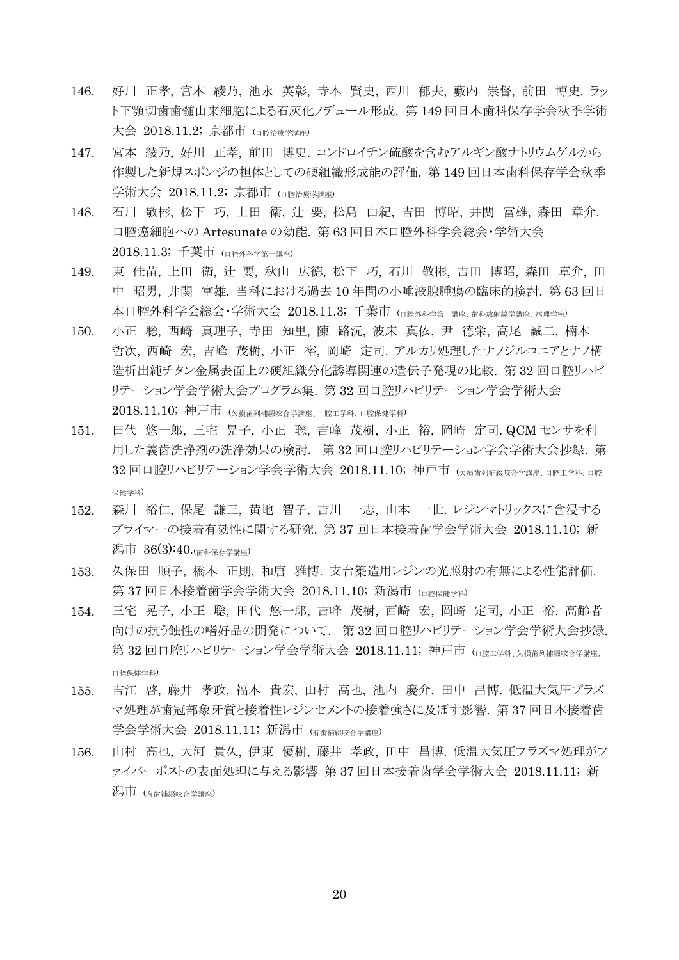- 146. 好川 正孝, 宮本 綾乃, 池永 英彰, 寺本 賢史, 西川 郁夫, 藪内 崇督, 前田 博史. ラッ ト下顎切歯歯髄由来細胞による石灰化ノデュール形成. 第 149 回日本歯科保存学会秋季学術 大会 2018.11.2; 京都市 (口腔治療学講座)
- 147. 宮本 綾乃, 好川 正孝, 前田 博史. コンドロイチン硫酸を含むアルギン酸ナトリウムゲルから 作製した新規スポンジの担体としての硬組織形成能の評価. 第 149 回日本歯科保存学会秋季 学術大会 2018.11.2; 京都市 (口腔治療学講座)
- 148. 石川 敬彬, 松下 巧, 上田 衛, 辻 要, 松島 由紀, 吉田 博昭, 井関 富雄, 森田 章介. 口腔癌細胞への Artesunate の効能. 第 63 回日本口腔外科学会総会・学術大会  $2018.11.3$ ; 千葉市 ( $\alpha$   $\mu$  $\beta$  $\gamma$  $\beta$  $\gamma$  $\beta$  $\gamma$  $\beta$  $\gamma$  $\gamma$  $\gamma$
- 149. 東 佳苗, 上田 衛, 辻 要, 秋山 広徳, 松下 巧, 石川 敬彬, 吉田 博昭, 森田 章介, 田 中 昭男, 井関 富雄. 当科における過去 10 年間の小唾液腺腫瘍の臨床的検討. 第 63 回日 本口腔外科学会総会・学術大会 2018.11.3; 千葉市 (口腔外科学第一講座、歯科放射線学講座、病理学室)
- 150. 小正 聡, 西崎 真理子, 寺田 知里, 陳 路沅, 波床 真依, 尹 德栄, 高尾 誠二, 楠本 哲次, 西崎 宏, 吉峰 茂樹, 小正 裕, 岡崎 定司. アルカリ処理したナノジルコニアとナノ構 造析出純チタン金属表面上の硬組織分化誘導関連の遺伝子発現の比較. 第 32 回口腔リハビ リテーション学会学術大会プログラム集. 第 32 回口腔リハビリテーション学会学術大会 2018.11.10; 神戸市 (欠損歯列補綴咬合学講座、口腔工学科、口腔保健学科)
- 151. 田代 悠一郎, 三宅 晃子, 小正 聡, 吉峰 茂樹, 小正 裕, 岡崎 定司. QCM センサを利 用した義歯洗浄剤の洗浄効果の検討. 第 32 回口腔リハビリテーション学会学術大会抄録. 第 32回口腔リハビリテーション学会学術大会 2018.11.10; 神戸市 (欠損歯列補綴咬合学講座、口腔工学科、口腔 保健学科)
- 152. 森川 裕仁, 保尾 謙三, 黄地 智子, 吉川 一志, 山本 一世. レジンマトリックスに含浸する プライマーの接着有効性に関する研究. 第 37 回日本接着歯学会学術大会 2018.11.10; 新 潟市 36(3):40.(歯科保存学講座)
- 153. 久保田 順子, 橋本 正則, 和唐 雅博. 支台築造用レジンの光照射の有無による性能評価. 第 37 回日本接着歯学会学術大会 2018.11.10; 新潟市 (ロ腔保健学科)
- 154. 三宅 晃子, 小正 聡, 田代 悠一郎, 吉峰 茂樹, 西崎 宏, 岡崎 定司, 小正 裕. 高齢者 向けの抗う蝕性の嗜好品の開発について. 第 32 回口腔リハビリテーション学会学術大会抄録. 第 32回口腔リハビリテーション学会学術大会 2018.11.11; 神戸市 (ロ腔エ学科、欠損歯列補綴咬合学講座、 口腔保健学科)
- 155. 吉江 啓, 藤井 孝政, 福本 貴宏, 山村 高也, 池内 慶介, 田中 昌博. 低温大気圧プラズ マ処理が歯冠部象牙質と接着性レジンセメントの接着強さに及ぼす影響. 第 37 回日本接着歯 学会学術大会 2018.11.11; 新潟市 (有歯補綴咬合学講座)
- 156. 山村 高也, 大河 貴久, 伊東 優樹, 藤井 孝政, 田中 昌博. 低温大気圧プラズマ処理がフ ァイバーポストの表面処理に与える影響 第 37 回日本接着歯学会学術大会 2018.11.11; 新 潟市 (有歯補綴咬合学講座)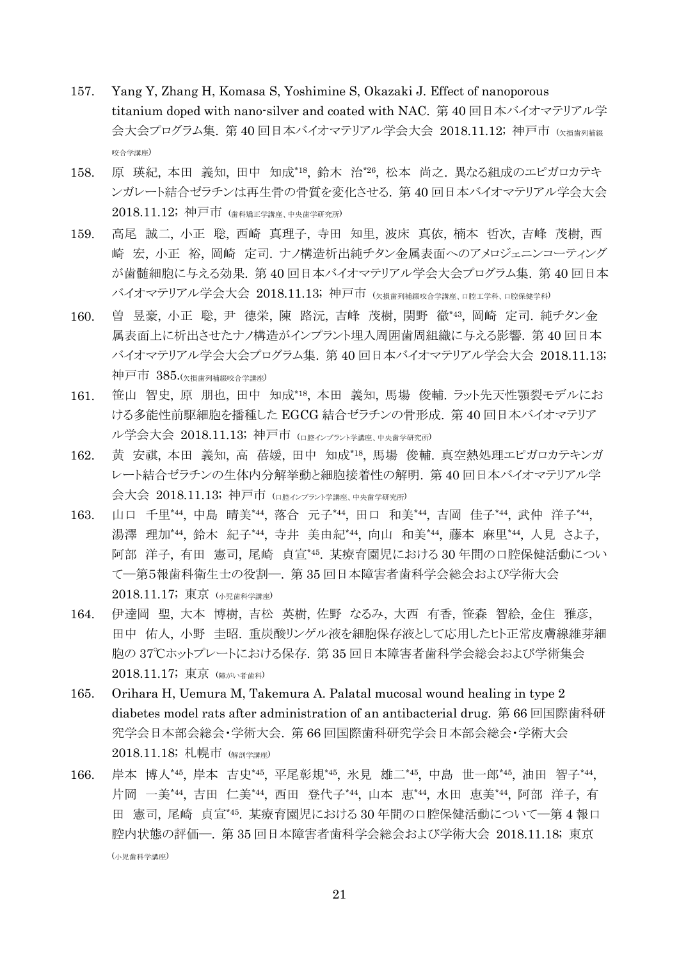- 157. Yang Y, Zhang H, Komasa S, Yoshimine S, Okazaki J. Effect of nanoporous titanium doped with nano-silver and coated with NAC. 第 40 回日本バイオマテリアル学 会大会プログラム集. 第40回日本バイオマテリアル学会大会 2018.11.12; 神戸市 (欠損歯列補綴 咬合学講座)
- 158. 原 瑛紀, 本田 義知, 田中 知成\*18 , 鈴木 治\*26 , 松本 尚之. 異なる組成のエピガロカテキ ンガレート結合ゼラチンは再生骨の骨質を変化させる. 第 40 回日本バイオマテリアル学会大会 2018.11.12; 神戸市 (歯科矯正学講座、中央歯学研究所)
- 159. 高尾 誠二, 小正 聡, 西崎 真理子, 寺田 知里, 波床 真依, 楠本 哲次, 吉峰 茂樹, 西 崎 宏, 小正 裕, 岡崎 定司. ナノ構造析出純チタン金属表面へのアメロジェニンコーティング が歯髄細胞に与える効果. 第 40 回日本バイオマテリアル学会大会プログラム集. 第 40 回日本 バイオマテリアル学会大会 2018.11.13; 神戸市 (欠損歯列補綴咬合学講座、口腔工学科、口腔保健学科)
- 160. 曽 昱豪, 小正 聡, 尹 德栄, 陳 路沅, 吉峰 茂樹, 関野 徹\*43 , 岡崎 定司. 純チタン金 属表面上に析出させたナノ構造がインプラント埋入周囲歯周組織に与える影響. 第 40 回日本 バイオマテリアル学会大会プログラム集. 第 40 回日本バイオマテリアル学会大会 2018.11.13; 神戸市 385.(欠損歯列補綴咬合学講座)
- 161. 笹山 智史, 原 朋也, 田中 知成\*18 , 本田 義知, 馬場 俊輔. ラット先天性顎裂モデルにお ける多能性前駆細胞を播種した EGCG 結合ゼラチンの骨形成. 第 40 回日本バイオマテリア ル学会大会 2018.11.13; 神戸市 (ロ腔インプラント学講座、中央歯学研究所)
- 162. 黄 安祺, 本田 義知, 高 蓓媛, 田中 知成\*18 , 馬場 俊輔. 真空熱処理エピガロカテキンガ レート結合ゼラチンの生体内分解挙動と細胞接着性の解明. 第 40 回日本バイオマテリアル学 会大会 2018.11.13; 神戸市 (口腔インプラント学講座、中央歯学研究所)
- 163. 山口 千里\*44, 中島 晴美\*44, 落合 元子\*44, 田口 和美\*44, 吉岡 佳子\*44, 武仲 洋子\*44, 湯澤 理加\*44, 鈴木 紀子\*44, 寺井 美由紀\*44, 向山 和美\*44, 藤本 麻里\*44, 人見 さよ子, 阿部 洋子, 有田 憲司, 尾崎 貞宣\*45 . 某療育園児における 30 年間の口腔保健活動につい て―第5報歯科衛生士の役割―. 第 35 回日本障害者歯科学会総会および学術大会 2018.11.17; 東京 (小児歯科学講座)
- 164. 伊達岡 聖, 大本 博樹, 吉松 英樹, 佐野 なるみ, 大西 有香, 笹森 智絵, 金住 雅彦, 田中 佑人, 小野 圭昭. 重炭酸リンゲル液を細胞保存液として応用したヒト正常皮膚線維芽細 胞の 37℃ホットプレートにおける保存. 第 35 回日本障害者歯科学会総会および学術集会 2018.11.17; 東京 (障がい者歯科)
- 165. Orihara H, Uemura M, Takemura A. Palatal mucosal wound healing in type 2 diabetes model rats after administration of an antibacterial drug. 第 66 回国際歯科研 究学会日本部会総会・学術大会. 第 66 回国際歯科研究学会日本部会総会・学術大会 2018.11.18; 札幌市 (解剖学講座)
- 166. 岸本 博人\*45, 岸本 吉史\*45, 平尾彰規\*45, 氷見 雄二\*45, 中島 世一郎\*45, 油田 智子\*44, 片岡 一美\*44, 吉田 仁美\*44, 西田 登代子\*44, 山本 恵\*44, 水田 恵美\*44, 阿部 洋子, 有 田 憲司, 尾崎 貞宣\*45 . 某療育園児における 30 年間の口腔保健活動について―第 4 報口 腔内状態の評価―. 第 35 回日本障害者歯科学会総会および学術大会 2018.11.18; 東京 (小児歯科学講座)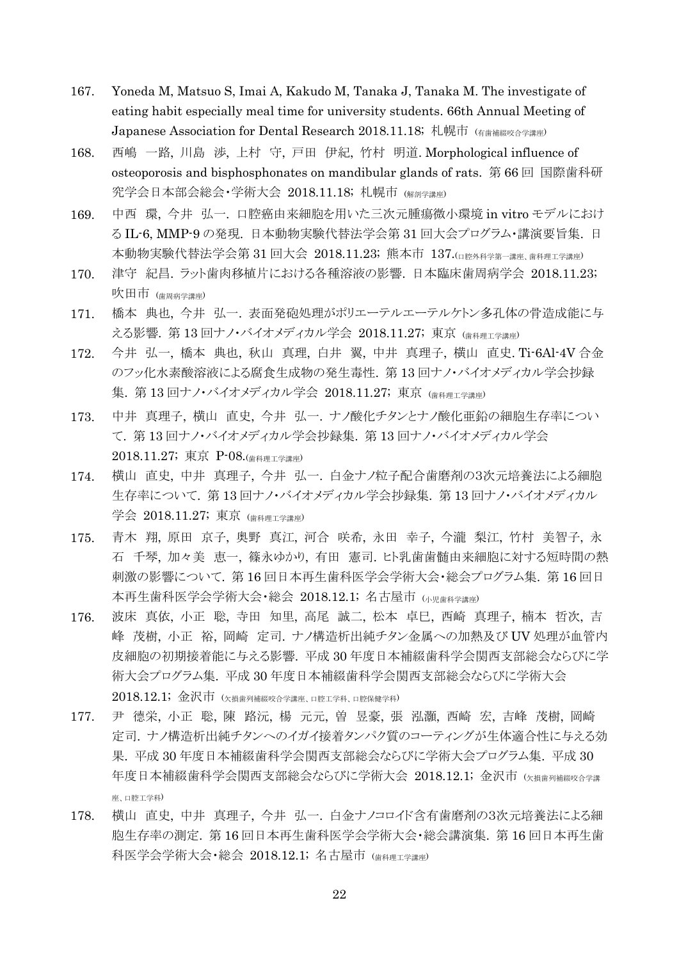- 167. Yoneda M, Matsuo S, Imai A, Kakudo M, Tanaka J, Tanaka M. The investigate of eating habit especially meal time for university students. 66th Annual Meeting of Japanese Association for Dental Research 2018.11.18; 札幌市 (有歯補綴咬合学講座)
- 168. 西嶋 一路, 川島 渉, 上村 守, 戸田 伊紀, 竹村 明道. Morphological influence of osteoporosis and bisphosphonates on mandibular glands of rats. 第 66 回 国際歯科研 究学会日本部会総会·学術大会 2018.11.18; 札幌市 (解剖学講座)
- 169. 中西 環, 今井 弘一. 口腔癌由来細胞を用いた三次元腫瘍微小環境 in vitro モデルにおけ る IL-6, MMP-9 の発現. 日本動物実験代替法学会第 31 回大会プログラム・講演要旨集. 日 本動物実験代替法学会第 31 回大会 2018.11.23; 熊本市 137.(口腔外科学第一講座、歯科理工学講座)
- 170. 津守 紀昌. ラット歯肉移植片における各種溶液の影響. 日本臨床歯周病学会 2018.11.23; 吹田市 (歯周病学講座)
- 171. 橋本 典也, 今井 弘一. 表面発砲処理がポリエーテルエーテルケトン多孔体の骨造成能に与 える影響. 第13回ナノ・バイオメディカル学会 2018.11.27; 東京 (歯科理工学講座)
- 172. 今井 弘一, 橋本 典也, 秋山 真理, 白井 翼, 中井 真理子, 横山 直史. Ti-6Al-4V 合金 のフッ化水素酸溶液による腐食生成物の発生毒性. 第 13 回ナノ・バイオメディカル学会抄録 集. 第13回ナノ・バイオメディカル学会 2018.11.27; 東京 (歯科理工学講座)
- 173. 中井 真理子, 横山 直史, 今井 弘一. ナノ酸化チタンとナノ酸化亜鉛の細胞生存率につい て. 第 13 回ナノ・バイオメディカル学会抄録集. 第 13 回ナノ・バイオメディカル学会 2018.11.27; 東京 P-08.(歯科理工学講座)
- 174. 横山 直史, 中井 真理子, 今井 弘一. 白金ナノ粒子配合歯磨剤の3次元培養法による細胞 生存率について. 第 13 回ナノ・バイオメディカル学会抄録集. 第 13 回ナノ・バイオメディカル 学会 2018.11.27; 東京 (歯科理工学講座)
- 175. 青木 翔, 原田 京子, 奥野 真江, 河合 咲希, 永田 幸子, 今瀧 梨江, 竹村 美智子, 永 石 千琴, 加々美 恵一, 篠永ゆかり, 有田 憲司. ヒト乳歯歯髄由来細胞に対する短時間の熱 刺激の影響について. 第 16 回日本再生歯科医学会学術大会・総会プログラム集. 第 16 回日 本再生歯科医学会学術大会・総会 2018.12.1; 名古屋市 (小児歯科学講座)
- 176. 波床 真依, 小正 聡, 寺田 知里, 高尾 誠二, 松本 卓巳, 西崎 真理子, 楠本 哲次, 吉 峰 茂樹, 小正 裕, 岡崎 定司. ナノ構造析出純チタン金属への加熱及び UV 処理が血管内 皮細胞の初期接着能に与える影響. 平成 30 年度日本補綴歯科学会関西支部総会ならびに学 術大会プログラム集. 平成 30 年度日本補綴歯科学会関西支部総会ならびに学術大会 2018.12.1; 金沢市 (欠損歯列補綴咬合学講座、口腔工学科、口腔保健学科)
- 177. 尹 德栄, 小正 聡, 陳 路沅, 楊 元元, 曽 昱豪, 張 泓灝, 西崎 宏, 吉峰 茂樹, 岡崎 定司. ナノ構造析出純チタンへのイガイ接着タンパク質のコーティングが生体適合性に与える効 果. 平成 30 年度日本補綴歯科学会関西支部総会ならびに学術大会プログラム集. 平成 30 年度日本補綴歯科学会関西支部総会ならびに学術大会 2018.12.1; 金沢市 (x指歯列補綴咬合学講 座、口腔工学科)
- 178. 横山 直史, 中井 真理子, 今井 弘一. 白金ナノコロイド含有歯磨剤の3次元培養法による細 胞生存率の測定. 第 16 回日本再生歯科医学会学術大会・総会講演集. 第 16 回日本再生歯 科医学会学術大会・総会 2018.12.1; 名古屋市 (歯科理工学講座)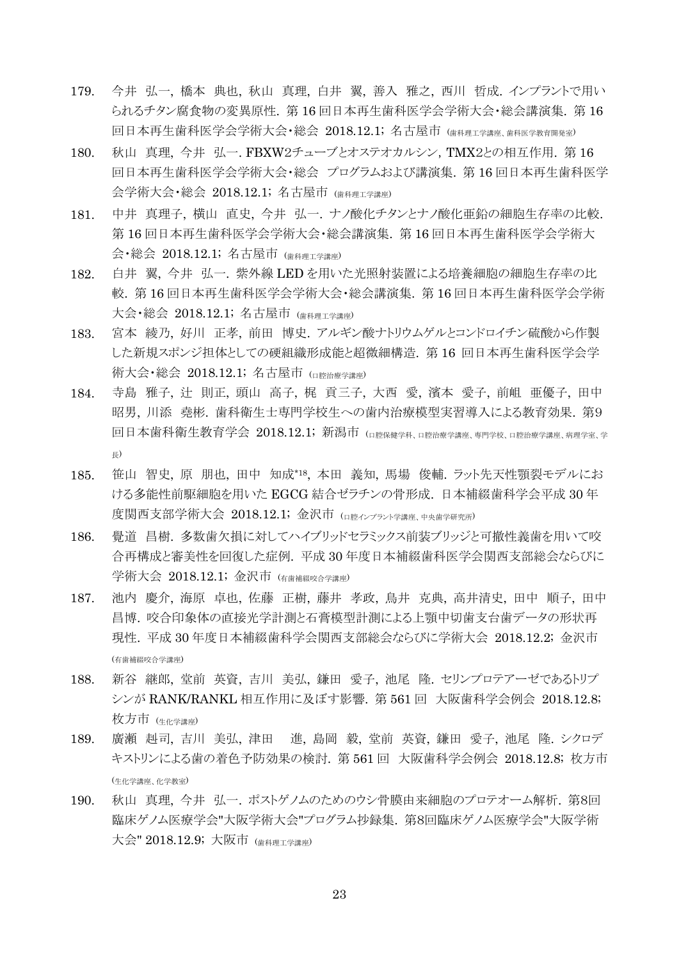- 179. 今井 弘一, 橋本 典也, 秋山 真理, 白井 翼, 善入 雅之, 西川 哲成. インプラントで用い られるチタン腐食物の変異原性. 第 16 回日本再生歯科医学会学術大会・総会講演集. 第 16 回日本再生歯科医学会学術大会・総会 2018.12.1; 名古屋市 (歯科理工学講座、歯科医学教育開発室)
- 180. 秋山 真理, 今井 弘一. FBXW2チューブとオステオカルシン,TMX2との相互作用. 第 16 回日本再生歯科医学会学術大会・総会 プログラムおよび講演集. 第 16 回日本再生歯科医学 会学術大会・総会 2018.12.1; 名古屋市 (歯科理工学講座)
- 181. 中井 真理子, 横山 直史, 今井 弘一. ナノ酸化チタンとナノ酸化亜鉛の細胞生存率の比較. 第 16 回日本再生歯科医学会学術大会・総会講演集. 第 16 回日本再生歯科医学会学術大 会・総会 2018.12.1; 名古屋市 (歯科理工学講座)
- 182. 白井 翼, 今井 弘一. 紫外線 LED を用いた光照射装置による培養細胞の細胞生存率の比 較. 第 16 回日本再生歯科医学会学術大会・総会講演集. 第 16 回日本再生歯科医学会学術 大会・総会 2018.12.1; 名古屋市 (歯科理工学講座)
- 183. 宮本 綾乃, 好川 正孝, 前田 博史. アルギン酸ナトリウムゲルとコンドロイチン硫酸から作製 した新規スポンジ担体としての硬組織形成能と超微細構造. 第 16 回日本再生歯科医学会学 術大会・総会 2018.12.1; 名古屋市 (口腔治療学講座)
- 184. 寺島 雅子, 辻 則正, 頭山 高子, 梶 貢三子, 大西 愛, 濱本 愛子, 前岨 亜優子, 田中 昭男, 川添 堯彬. 歯科衛生士専門学校生への歯内治療模型実習導入による教育効果. 第9 回日本歯科衛生教育学会 2018.12.1; 新潟市 (□ 陸保健学科 □腔治療学講座 真門学校 □腔治療学講座 病理学室 学 長)
- 185. 笹山 智史, 原 朋也, 田中 知成\*18 , 本田 義知, 馬場 俊輔. ラット先天性顎裂モデルにお ける多能性前駆細胞を用いた EGCG 結合ゼラチンの骨形成. 日本補綴歯科学会平成 30 年 度関西支部学術大会 2018.12.1; 金沢市 (口腔インプラント学講座、中央歯学研究所)
- 186. 覺道 昌樹. 多数歯欠損に対してハイブリッドセラミックス前装ブリッジと可撤性義歯を用いて咬 合再構成と審美性を回復した症例. 平成 30 年度日本補綴歯科医学会関西支部総会ならびに 学術大会 2018.12.1; 金沢市 (有歯補綴咬合学講座)
- 187. 池内 慶介, 海原 卓也, 佐藤 正樹, 藤井 孝政, 鳥井 克典, 高井清史, 田中 順子, 田中 昌博. 咬合印象体の直接光学計測と石膏模型計測による上顎中切歯支台歯データの形状再 現性. 平成 30 年度日本補綴歯科学会関西支部総会ならびに学術大会 2018.12.2; 金沢市 (有歯補綴咬合学講座)
- 188. 新谷 継郎, 堂前 英資, 吉川 美弘, 鎌田 愛子, 池尾 隆. セリンプロテアーゼであるトリプ シンが RANK/RANKL 相互作用に及ぼす影響. 第 561 回 大阪歯科学会例会 2018.12.8; 枚方市 (生化学講座)
- 189. 廣瀬 赳司, 吉川 美弘, 津田 進, 島岡 毅, 堂前 英資, 鎌田 愛子, 池尾 隆. シクロデ キストリンによる歯の着色予防効果の検討. 第 561 回 大阪歯科学会例会 2018.12.8; 枚方市 (生化学講座、化学教室)
- 190. 秋山 真理, 今井 弘一. ポストゲノムのためのウシ骨膜由来細胞のプロテオーム解析. 第8回 臨床ゲノム医療学会"大阪学術大会"プログラム抄録集. 第8回臨床ゲノム医療学会"大阪学術 大会" 2018.12.9; 大阪市 (歯科理工学講座)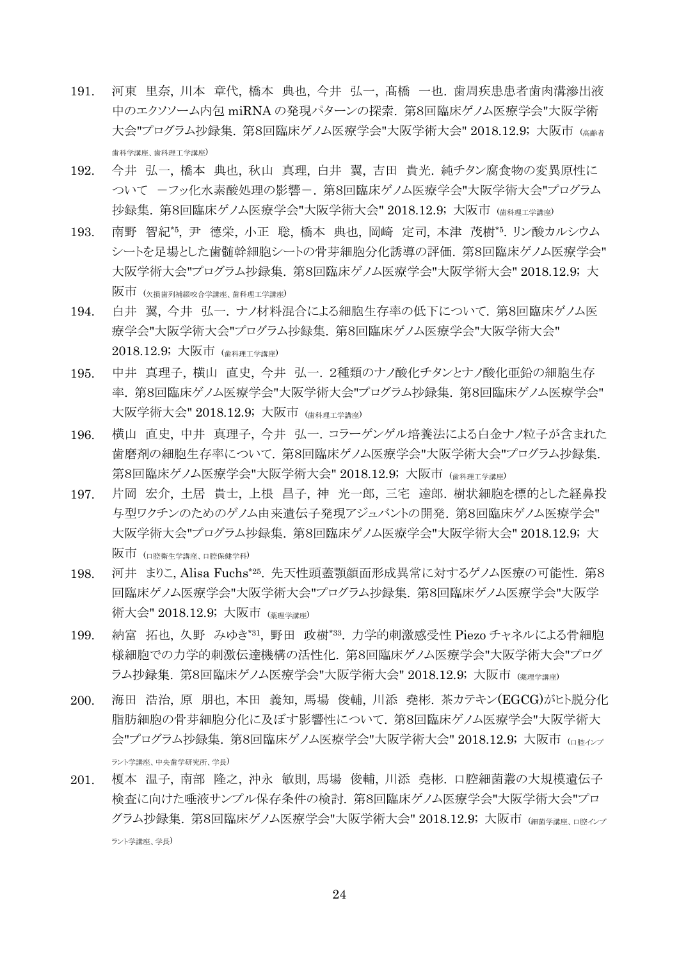- 191. 河東 里奈, 川本 章代, 橋本 典也, 今井 弘一, 髙橋 一也. 歯周疾患患者歯肉溝滲出液 中のエクソソーム内包 miRNA の発現パターンの探索. 第8回臨床ゲノム医療学会"大阪学術 大会"プログラム抄録集. 第8回臨床ゲノム医療学会"大阪学術大会" 2018.12.9; 大阪市 (高齢者 歯科学講座、歯科理工学講座)
- 192. 今井 弘一, 橋本 典也, 秋山 真理, 白井 翼, 吉田 貴光. 純チタン腐食物の変異原性に ついて -フッ化水素酸処理の影響-. 第8回臨床ゲノム医療学会"大阪学術大会"プログラム 抄録集. 第8回臨床ゲノム医療学会"大阪学術大会" 2018.12.9; 大阪市 (歯科理工学講座)
- 193. 南野 智紀\*5 , 尹 德栄, 小正 聡, 橋本 典也, 岡崎 定司, 本津 茂樹\*5 . リン酸カルシウム シートを足場とした歯髄幹細胞シートの骨芽細胞分化誘導の評価. 第8回臨床ゲノム医療学会" 大阪学術大会"プログラム抄録集. 第8回臨床ゲノム医療学会"大阪学術大会" 2018.12.9; 大  $\overline{W}$ 市 (<sub>欠損歯列補綴咬合学講座、歯科理工学講座)</sub>
- 194. 白井 翼, 今井 弘一. ナノ材料混合による細胞生存率の低下について. 第8回臨床ゲノム医 療学会"大阪学術大会"プログラム抄録集. 第8回臨床ゲノム医療学会"大阪学術大会" 2018.12.9; 大阪市 (歯科理工学講座)
- 195. 中井 真理子, 横山 直史, 今井 弘一. 2種類のナノ酸化チタンとナノ酸化亜鉛の細胞生存 率. 第8回臨床ゲノム医療学会"大阪学術大会"プログラム抄録集. 第8回臨床ゲノム医療学会" 大阪学術大会" 2018.12.9; 大阪市 (歯科理工学講座)
- 196. 横山 直史, 中井 真理子, 今井 弘一. コラーゲンゲル培養法による白金ナノ粒子が含まれた 歯磨剤の細胞生存率について. 第8回臨床ゲノム医療学会"大阪学術大会"プログラム抄録集. 第8回臨床ゲノム医療学会"大阪学術大会" 2018.12.9; 大阪市 (歯科理工学講座)
- 197. 片岡 宏介, 土居 貴士, 上根 昌子, 神 光一郎, 三宅 達郎. 樹状細胞を標的とした経鼻投 与型ワクチンのためのゲノム由来遺伝子発現アジュバントの開発. 第8回臨床ゲノム医療学会" 大阪学術大会"プログラム抄録集. 第8回臨床ゲノム医療学会"大阪学術大会" 2018.12.9; 大 阪市 (口腔衛生学講座、口腔保健学科)
- 198. 河井 まりこ, Alisa Fuchs\*25 . 先天性頭蓋顎顔面形成異常に対するゲノム医療の可能性. 第8 回臨床ゲノム医療学会"大阪学術大会"プログラム抄録集. 第8回臨床ゲノム医療学会"大阪学 術大会" 2018.12.9; 大阪市 (薬理学講座)
- 199. 納富 拓也, 久野 みゆき\*31 , 野田 政樹\*33 . 力学的刺激感受性 Piezo チャネルによる骨細胞 様細胞での力学的刺激伝達機構の活性化. 第8回臨床ゲノム医療学会"大阪学術大会"プログ ラム抄録集. 第8回臨床ゲノム医療学会"大阪学術大会" 2018.12.9; 大阪市 (※理学講座)
- 200. 海田 浩治, 原 朋也, 本田 義知, 馬場 俊輔, 川添 堯彬. 茶カテキン(EGCG)がヒト脱分化 脂肪細胞の骨芽細胞分化に及ぼす影響性について. 第8回臨床ゲノム医療学会"大阪学術大 会"プログラム抄録集. 第8回臨床ゲノム医療学会"大阪学術大会" 2018.12.9; 大阪市 (ロ降インプ ラント学講座、中央歯学研究所、学長)
- 201. 榎本 温子, 南部 隆之, 沖永 敏則, 馬場 俊輔, 川添 堯彬. 口腔細菌叢の大規模遺伝子 検査に向けた唾液サンプル保存条件の検討. 第8回臨床ゲノム医療学会"大阪学術大会"プロ グラム抄録集. 第8回臨床ゲノム医療学会"大阪学術大会" 2018.12.9; 大阪市 (細菌学講座、口腔インプ ラント学講座、学長)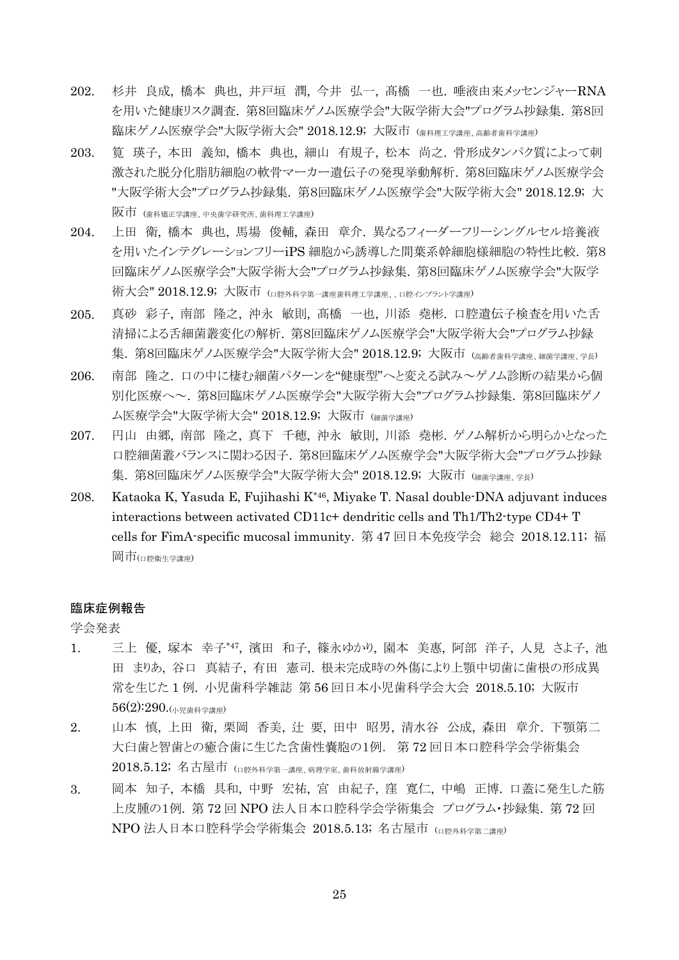- 202. 杉井 良成, 橋本 典也, 井戸垣 潤, 今井 弘一, 髙橋 一也. 唾液由来メッセンジャーRNA を用いた健康リスク調査. 第8回臨床ゲノム医療学会"大阪学術大会"プログラム抄録集. 第8回 臨床ゲノム医療学会"大阪学術大会" 2018.12.9; 大阪市 (歯科理工学講座、高齢者歯科学講座)
- 203. 筧 瑛子, 本田 義知, 橋本 典也, 細山 有規子, 松本 尚之. 骨形成タンパク質によって刺 激された脱分化脂肪細胞の軟骨マーカー遺伝子の発現挙動解析. 第8回臨床ゲノム医療学会 "大阪学術大会"プログラム抄録集. 第8回臨床ゲノム医療学会"大阪学術大会" 2018.12.9; 大 阪市 (歯科矯正学講座、中央歯学研究所、歯科理工学講座)
- 204. 上田 衛, 橋本 典也, 馬場 俊輔, 森田 章介. 異なるフィーダーフリーシングルセル培養液 を用いたインテグレーションフリーiPS 細胞から誘導した間葉系幹細胞様細胞の特性比較. 第8 回臨床ゲノム医療学会"大阪学術大会"プログラム抄録集. 第8回臨床ゲノム医療学会"大阪学 術大会" 2018.12.9; 大阪市 (ロ腔外科学第一講座歯科理工学講座、、口腔インプラント学講座)
- 205. 真砂 彩子, 南部 隆之, 沖永 敏則, 髙橋 一也, 川添 堯彬. 口腔遺伝子検査を用いた舌 清掃による舌細菌叢変化の解析. 第8回臨床ゲノム医療学会"大阪学術大会"プログラム抄録 集. 第8回臨床ゲノム医療学会"大阪学術大会" 2018.12.9; 大阪市 (高齢者歯科学講座、細菌学講座、学長)
- 206. 南部 隆之. 口の中に棲む細菌パターンを"健康型"へと変える試み~ゲノム診断の結果から個 別化医療へ~. 第8回臨床ゲノム医療学会"大阪学術大会"プログラム抄録集. 第8回臨床ゲノ ム医療学会"大阪学術大会" 2018.12.9; 大阪市 (細菌学講座)
- 207. 円山 由郷, 南部 隆之, 真下 千穂, 沖永 敏則, 川添 堯彬. ゲノム解析から明らかとなった 口腔細菌叢バランスに関わる因子. 第8回臨床ゲノム医療学会"大阪学術大会"プログラム抄録 集. 第8回臨床ゲノム医療学会"大阪学術大会" 2018.12.9; 大阪市 (細菌学講座、学長)
- 208. Kataoka K, Yasuda E, Fujihashi K\*46, Miyake T. Nasal double-DNA adjuvant induces interactions between activated CD11c+ dendritic cells and Th1/Th2-type CD4+ T cells for FimA-specific mucosal immunity. 第 47 回日本免疫学会 総会 2018.12.11; 福 岡市(口腔衛生学講座)

#### 臨床症例報告

学会発表

- 1. 三上 優, 塚本 幸子\*47 , 濱田 和子, 篠永ゆかり, 園本 美惠, 阿部 洋子, 人見 さよ子, 池 田 まりあ, 谷口 真結子, 有田 憲司. 根未完成時の外傷により上顎中切歯に歯根の形成異 常を生じた 1 例. 小児歯科学雑誌 第 56 回日本小児歯科学会大会 2018.5.10; 大阪市 56(2):290.(小児歯科学講座)
- 2. 山本 慎, 上田 衛, 栗岡 香美, 辻 要, 田中 昭男, 清水谷 公成, 森田 章介. 下顎第二 大臼歯と智歯との癒合歯に生じた含歯性嚢胞の1例. 第 72 回日本口腔科学会学術集会 2018.5.12; 名古屋市 (口腔外科学第一講座、病理学室、歯科放射線学講座)
- 3. 岡本 知子, 本橋 具和, 中野 宏祐, 宮 由紀子, 窪 寛仁, 中嶋 正博. 口蓋に発生した筋 上皮腫の1例. 第 72 回 NPO 法人日本口腔科学会学術集会 プログラム・抄録集. 第 72 回 NPO 法人日本口腔科学会学術集会 2018.5.13; 名古屋市 (口腔外科学第二講座)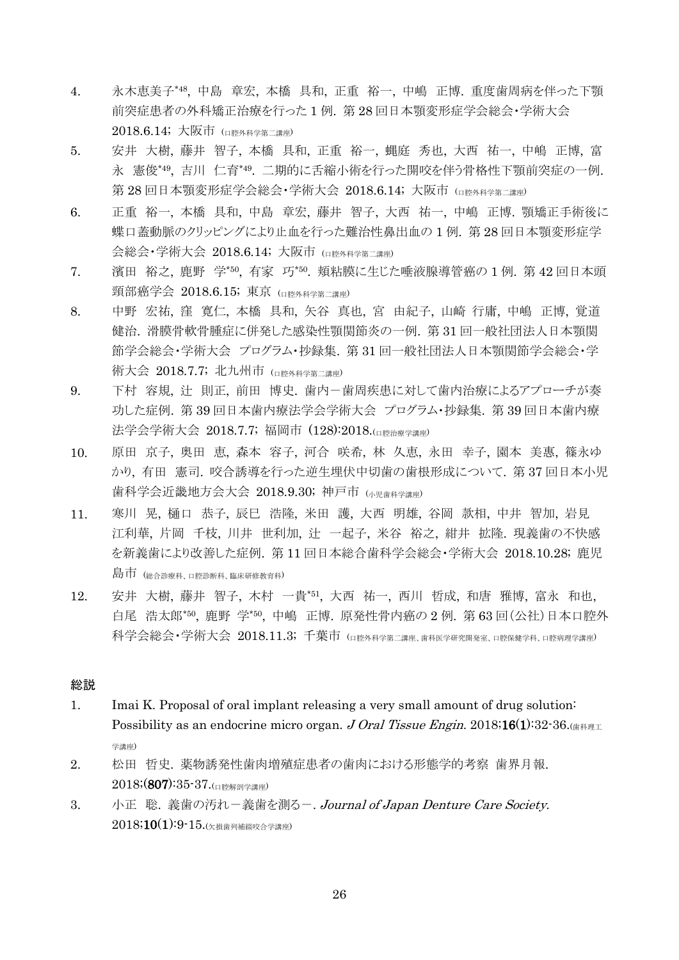- 4. 永木恵美子\*48 , 中島 章宏, 本橋 具和, 正重 裕一, 中嶋 正博. 重度歯周病を伴った下顎 前突症患者の外科矯正治療を行った 1 例. 第 28 回日本顎変形症学会総会・学術大会 2018.6.14; 大阪市 (口腔外科学第二講座)
- 5. 安井 大樹, 藤井 智子, 本橋 具和, 正重 裕一, 蝿庭 秀也, 大西 祐一, 中嶋 正博, 富 永 憲俊\*49 , 吉川 仁育\*49 . 二期的に舌縮小術を行った開咬を伴う骨格性下顎前突症の一例. 第 28 回日本顎変形症学会総会・学術大会 2018.6.14; 大阪市 (ロ腔外科学第二講座)
- 6. 正重 裕一, 本橋 具和, 中島 章宏, 藤井 智子, 大西 祐一, 中嶋 正博. 顎矯正手術後に 蝶口蓋動脈のクリッピングにより止血を行った難治性鼻出血の 1 例. 第 28 回日本顎変形症学 会総会・学術大会 2018.6.14; 大阪市 (口腔外科学第二講座)
- 7. 濱田 裕之, 鹿野 学\*50, 有家 巧\*50. 頬粘膜に生じた唾液腺導管癌の1例. 第42回日本頭 頸部癌学会 2018.6.15; 東京 ( $\Delta$  mex  $\Delta$  #  $\Delta$  =  $\Delta$  #  $\Delta$  =  $\Delta$  +  $\Delta$  +  $\Delta$  +  $\Delta$  +  $\Delta$  +  $\Delta$  +  $\Delta$  +  $\Delta$  +  $\Delta$  +  $\Delta$  +  $\Delta$  +  $\Delta$  +  $\Delta$  +  $\Delta$  +  $\Delta$  +  $\Delta$  +  $\Delta$  +  $\Delta$  +  $\Delta$  +  $\Delta$  +  $\Delta$  +  $\Delta$  +  $\Delta$  +
- 8. 中野 宏祐, 窪 寛仁, 本橋 具和, 矢谷 真也, 宮 由紀子, 山崎 行庸, 中嶋 正博, 覚道 健治. 滑膜骨軟骨腫症に併発した感染性顎関節炎の一例. 第 31 回一般社団法人日本顎関 節学会総会・学術大会 プログラム・抄録集. 第 31 回一般社団法人日本顎関節学会総会・学 術大会 2018.7.7; 北九州市 (口腔外科学第二講座)
- 9. 下村 容規, 辻 則正, 前田 博史. 歯内-歯周疾患に対して歯内治療によるアプローチが奏 功した症例. 第 39 回日本歯内療法学会学術大会 プログラム・抄録集. 第 39 回日本歯内療 法学会学術大会 2018.7.7; 福岡市 (128):2018.(口腔治療学講座)
- 10. 原田 京子, 奥田 恵, 森本 容子, 河合 咲希, 林 久恵, 永田 幸子, 園本 美惠, 篠永ゆ かり, 有田 憲司. 咬合誘導を行った逆生埋伏中切歯の歯根形成について. 第 37 回日本小児 歯科学会近畿地方会大会 2018.9.30; 神戸市 (小児歯科学講座)
- 11. 寒川 晃, 樋口 恭子, 辰巳 浩隆, 米田 護, 大西 明雄, 谷岡 款相, 中井 智加, 岩見 江利華, 片岡 千枝, 川井 世利加, 辻 一起子, 米谷 裕之, 紺井 拡隆. 現義歯の不快感 を新義歯により改善した症例. 第 11 回日本総合歯科学会総会・学術大会 2018.10.28; 鹿児 島市 (総合診療科、口腔診断科、臨床研修教育科)
- 12. 安井 大樹, 藤井 智子, 木村 一貴\*51 , 大西 祐一, 西川 哲成, 和唐 雅博, 富永 和也, 白尾 浩太郎\*50, 鹿野 学\*50, 中嶋 正博. 原発性骨内癌の2例. 第63回(公社)日本口腔外 科学会総会・学術大会 2018.11.3; 千葉市 (ロ腔外科学第二講座、歯科医学研究開発室、口腔保健学科、口腔病理学講座)

### 総説

- 1. Imai K. Proposal of oral implant releasing a very small amount of drug solution: Possibility as an endocrine micro organ. J Oral Tissue Engin. 2018;16(1):32-36. $\left(\frac{1}{10}\right)^{1/2}$ 学講座)
- 2. 松田 哲史. 薬物誘発性歯肉増殖症患者の歯肉における形態学的考察 歯界月報.  $2018$ ;  $(807)$ :  $35-37$ . (口腔解剖学講座)
- 3. 小正 聡. 義歯の汚れー義歯を測るー. Journal of Japan Denture Care Society.  $2018;10(1):9-15.$ (欠損歯列補綴咬合学講座)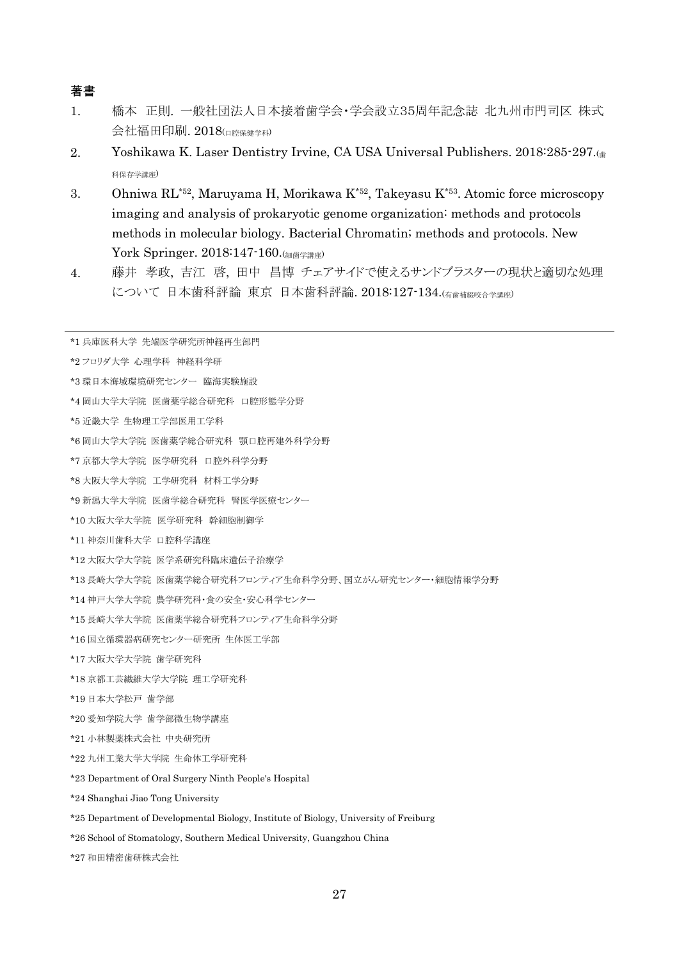## 著書

- 1. 橋本 正則. 一般社団法人日本接着歯学会・学会設立35周年記念誌 北九州市門司区 株式 会社福田印刷. 2018(口腔保健学科)
- 2. Yoshikawa K. Laser Dentistry Irvine, CA USA Universal Publishers. 2018:285-297. 科保存学講座)
- 3. Ohniwa RL\*52, Maruyama H, Morikawa K\*52, Takeyasu K\*53 . Atomic force microscopy imaging and analysis of prokaryotic genome organization: methods and protocols methods in molecular biology. Bacterial Chromatin; methods and protocols. New York Springer. 2018:147-160.(細菌学講座)
- 4. 藤井 孝政, 吉江 啓, 田中 昌博 チェアサイドで使えるサンドブラスターの現状と適切な処理 について 日本歯科評論 東京 日本歯科評論. 2018:127-134.(有歯補綴咬合学講座)

| *1 兵庫医科大学 先端医学研究所神経再生部門                                |
|--------------------------------------------------------|
|                                                        |
| *2フロリダ大学 心理学科 神経科学研                                    |
| *3 環日本海域環境研究センター 臨海実験施設                                |
| *4 岡山大学大学院 医歯薬学総合研究科 口腔形熊学分野                           |
| *5 近畿大学 生物理工学部医用工学科                                    |
| *6 岡山大学大学院 医歯薬学総合研究科 顎口腔再建外科学分野                        |
| *7 京都大学大学院 医学研究科 口腔外科学分野                               |
| *8 大阪大学大学院 工学研究科 材料工学分野                                |
| *9 新潟大学大学院 医歯学総合研究科 腎医学医療センター                          |
| *10 大阪大学大学院 医学研究科 幹細胞制御学                               |
| *11 神奈川歯科大学 口腔科学講座                                     |
| *12 大阪大学大学院 医学系研究科臨床遺伝子治療学                             |
| *13 長崎大学大学院 医歯薬学総合研究科フロンティア生命科学分野、国立がん研究センター・細胞情報学分野   |
| *14 神戸大学大学院 農学研究科・食の安全・安心科学センター                        |
| *15 長崎大学大学院 医歯薬学総合研究科フロンティア生命科学分野                      |
| *16 国立循環器病研究センター研究所 生体医工学部                             |
| *17 大阪大学大学院 歯学研究科                                      |
| *18 京都工芸繊維大学大学院 理工学研究科                                 |
| *19日本大学松戸 歯学部                                          |
| *20 愛知学院大学 歯学部微生物学講座                                   |
| *21 小林製薬株式会社 中央研究所                                     |
| *22 九州工業大学大学院 生命体工学研究科                                 |
| *23 Department of Oral Surgery Ninth People's Hospital |
| *24 Shanghai Jiao Tong University                      |
|                                                        |

- \*25 Department of Developmental Biology, Institute of Biology, University of Freiburg
- \*26 School of Stomatology, Southern Medical University, Guangzhou China
- \*27 和田精密歯研株式会社